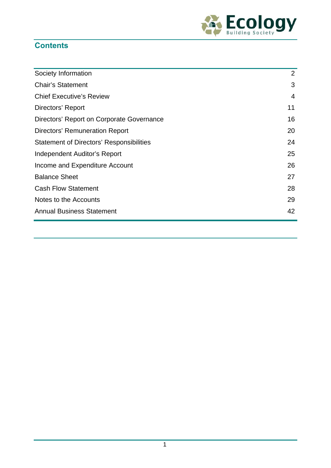

# **Contents**

| Society Information                             | 2  |
|-------------------------------------------------|----|
| <b>Chair's Statement</b>                        | 3  |
| <b>Chief Executive's Review</b>                 | 4  |
| Directors' Report                               | 11 |
| Directors' Report on Corporate Governance       | 16 |
| <b>Directors' Remuneration Report</b>           | 20 |
| <b>Statement of Directors' Responsibilities</b> | 24 |
| Independent Auditor's Report                    | 25 |
| Income and Expenditure Account                  | 26 |
| <b>Balance Sheet</b>                            | 27 |
| <b>Cash Flow Statement</b>                      | 28 |
| Notes to the Accounts                           | 29 |
| <b>Annual Business Statement</b>                | 42 |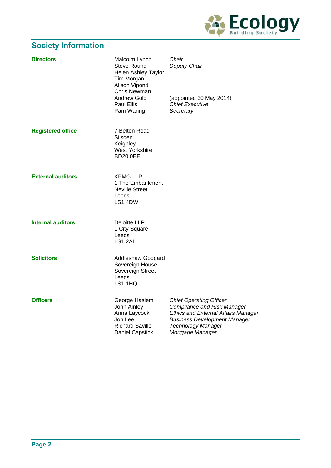

# **Society Information**

| <b>Directors</b>         | Malcolm Lynch<br><b>Steve Round</b><br><b>Helen Ashley Taylor</b><br>Tim Morgan<br>Alison Vipond<br>Chris Newman<br>Andrew Gold<br>Paul Ellis<br>Pam Waring | Chair<br>Deputy Chair<br>(appointed 30 May 2014)<br><b>Chief Executive</b><br>Secretary                                                                                                                    |
|--------------------------|-------------------------------------------------------------------------------------------------------------------------------------------------------------|------------------------------------------------------------------------------------------------------------------------------------------------------------------------------------------------------------|
| <b>Registered office</b> | 7 Belton Road<br>Silsden<br>Keighley<br><b>West Yorkshire</b><br><b>BD20 0EE</b>                                                                            |                                                                                                                                                                                                            |
| <b>External auditors</b> | <b>KPMG LLP</b><br>1 The Embankment<br><b>Neville Street</b><br>Leeds<br>LS1 4DW                                                                            |                                                                                                                                                                                                            |
| <b>Internal auditors</b> | <b>Deloitte LLP</b><br>1 City Square<br>Leeds<br>LS1 2AL                                                                                                    |                                                                                                                                                                                                            |
| <b>Solicitors</b>        | <b>Addleshaw Goddard</b><br>Sovereign House<br>Sovereign Street<br>Leeds<br>LS1 1HQ                                                                         |                                                                                                                                                                                                            |
| <b>Officers</b>          | George Haslem<br>John Ainley<br>Anna Laycock<br>Jon Lee<br><b>Richard Saville</b><br>Daniel Capstick                                                        | <b>Chief Operating Officer</b><br><b>Compliance and Risk Manager</b><br><b>Ethics and External Affairs Manager</b><br><b>Business Development Manager</b><br><b>Technology Manager</b><br>Mortgage Manager |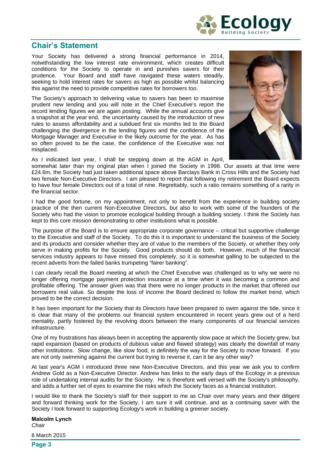

# **Chair's Statement**

Your Society has delivered a strong financial performance in 2014, notwithstanding the low interest rate environment, which creates difficult conditions for the Society to operate in and punishes savers for their prudence. Your Board and staff have navigated these waters steadily, seeking to hold interest rates for savers as high as possible whilst balancing this against the need to provide competitive rates for borrowers too.

The Society's approach to delivering value to savers has been to maximise prudent new lending and you will note in the Chief Executive's report the record lending figures we are again posting. While the annual accounts give a snapshot at the year end, the uncertainty caused by the introduction of new rules to assess affordability and a subdued first six months led to the Board challenging the divergence in the lending figures and the confidence of the Mortgage Manager and Executive in the likely outcome for the year. As has so often proved to be the case, the confidence of the Executive was not misplaced.



As I indicated last year, I shall be stepping down at the AGM in April,

somewhat later than my original plan when I joined the Society in 1998. Our assets at that time were £24.6m, the Society had just taken additional space above Barclays Bank in Cross Hills and the Society had two female Non-Executive Directors. I am pleased to report that following my retirement the Board expects to have four female Directors out of a total of nine. Regrettably, such a ratio remains something of a rarity in the financial sector.

I had the good fortune, on my appointment, not only to benefit from the experience in building society practice of the then current Non-Executive Directors, but also to work with some of the founders of the Society who had the vision to promote ecological building through a building society. I think the Society has kept to this core mission demonstrating to other institutions what is possible.

The purpose of the Board is to ensure appropriate corporate governance – critical but supportive challenge to the Executive and staff of the Society. To do this it is important to understand the business of the Society and its products and consider whether they are of value to the members of the Society, or whether they only serve in making profits for the Society. Good products should do both. However, much of the financial services industry appears to have missed this completely, so it is somewhat galling to be subjected to the recent adverts from the failed banks trumpeting "fairer banking".

I can clearly recall the Board meeting at which the Chief Executive was challenged as to why we were no longer offering mortgage payment protection insurance at a time when it was becoming a common and profitable offering. The answer given was that there were no longer products in the market that offered our borrowers real value. So despite the loss of income the Board declined to follow the market trend, which proved to be the correct decision.

It has been important for the Society that its Directors have been prepared to swim against the tide, since it is clear that many of the problems our financial system encountered in recent years grew out of a herd mentality, partly fostered by the revolving doors between the many components of our financial services infrastructure.

One of my frustrations has always been in accepting the apparently slow pace at which the Society grew, but rapid expansion (based on products of dubious value and flawed strategy) was clearly the downfall of many other institutions. Slow change, like slow food, is definitely the way for the Society to move forward. If you are not only swimming against the current but trying to reverse it, can it be any other way?

At last year's AGM I introduced three new Non-Executive Directors, and this year we ask you to confirm Andrew Gold as a Non-Executive Director. Andrew has links to the early days of the Ecology in a previous role of undertaking internal audits for the Society. He is therefore well versed with the Society's philosophy, and adds a further set of eyes to examine the risks which the Society faces as a financial institution.

I would like to thank the Society's staff for their support to me as Chair over many years and their diligent and forward thinking work for the Society. I am sure it will continue, and as a continuing saver with the Society I look forward to supporting Ecology's work in building a greener society.

**Malcolm Lynch** *Chair*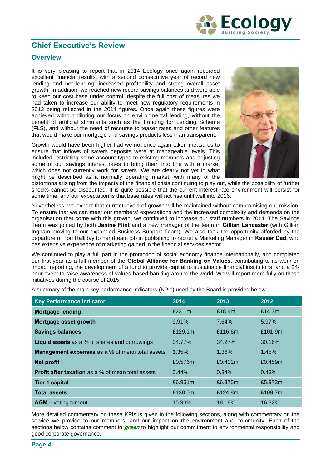

# **Chief Executive's Review**

# **Overview**

It is very pleasing to report that in 2014 Ecology once again recorded excellent financial results, with a second consecutive year of record new lending and net lending, increased profitability and strong overall asset growth. In addition, we reached new record savings balances and were able to keep our cost base under control, despite the full cost of measures we had taken to increase our ability to meet new regulatory requirements in 2013 being reflected in the 2014 figures. Once again these figures were achieved without diluting our focus on environmental lending, without the benefit of artificial stimulants such as the Funding for Lending Scheme (FLS), and without the need of recourse to teaser rates and other features that would make our mortgage and savings products less than transparent.

Growth would have been higher had we not once again taken measures to ensure that inflows of savers deposits were at manageable levels. This included restricting some account types to existing members and adjusting some of our savings interest rates to bring them into line with a market which does not currently work for savers. We are clearly not yet in what might be described as a normally operating market, with many of the



distortions arising from the impacts of the financial crisis continuing to play out, while the possibility of further shocks cannot be discounted. It is quite possible that the current interest rate environment will persist for some time, and our expectation is that base rates will not rise until well into 2016.

Nevertheless, we expect that current levels of growth will be maintained without compromising our mission. To ensure that we can meet our members' expectations and the increased complexity and demands on the organisation that come with this growth, we continued to increase our staff numbers in 2014. The Savings Team was joined by both **Janine Flint** and a new manager of the team in **Gillian Lancaster** (with Gillian Ingham moving to our expanded Business Support Team). We also took the opportunity afforded by the departure of Tori Halliday to her dream job in publishing to recruit a Marketing Manager in **Kauser Dad,** who has extensive experience of marketing gained in the financial services sector.

We continued to play a full part in the promotion of social economy finance internationally, and completed our first year as a full member of the **Global Alliance for Banking on Values,** contributing to its work on impact reporting, the development of a fund to provide capital to sustainable financial institutions, and a 24 hour event to raise awareness of values-based banking around the world. We will report more fully on these initiatives during the course of 2015.

| A summary of the main key performance indicators (KPIs) used by the Board is provided below. |      |      |               |  |  |
|----------------------------------------------------------------------------------------------|------|------|---------------|--|--|
| Key Performance Indicator                                                                    | 2014 | 2013 | $\sqrt{2012}$ |  |  |

| <b>Key Performance Indicator</b>                         | 2014    | 2013    | 2012    |
|----------------------------------------------------------|---------|---------|---------|
| <b>Mortgage lending</b>                                  | £23.1m  | £18.4m  | £14.3m  |
| Mortgage asset growth                                    | 9.91%   | 7.64%   | 5.97%   |
| <b>Savings balances</b>                                  | £129.1m | £116.6m | £101.9m |
| <b>Liquid assets</b> as a % of shares and borrowings     | 34.77%  | 34.27%  | 30.16%  |
| Management expenses as a % of mean total assets          | 1.35%   | 1.36%   | 1.45%   |
| <b>Net profit</b>                                        | £0.576m | £0.402m | £0.459m |
| <b>Profit after taxation</b> as a % of mean total assets | 0.44%   | 0.34%   | 0.43%   |
| <b>Tier 1 capital</b>                                    | £6.951m | £6.375m | £5.973m |
| <b>Total assets</b>                                      | £138.0m | £124.8m | £109.7m |
| <b>AGM</b> – voting turnout                              | 15.93%  | 18.18%  | 16.32%  |

More detailed commentary on these KPIs is given in the following sections, along with commentary on the service we provide to our members, and our impact on the environment and community. Each of the sections below contains comment in *green* to highlight our commitment to environmental responsibility and good corporate governance.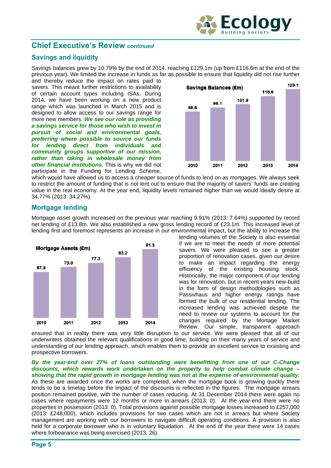

# **Savings and liquidity**

Savings balances grew by 10.79% by the end of 2014, reaching £129.1m (up from £116.6m at the end of the previous year). We limited the increase in funds as far as possible to ensure that liquidity did not rise further

and thereby reduce the impact on rates paid to savers. This meant further restrictions to availability of certain account types including ISAs. During 2014, we have been working on a new product range which was launched in March 2015 and is designed to allow access to our savings range for more new members. *We see our role as providing a savings service for those who wish to invest in pursuit of social and environmental goals, preferring where possible to source our funds for lending direct from individuals and community groups supportive of our mission, rather than taking in wholesale money from other financial institutions.* This is why we did not participate in the Funding for Lending Scheme,



which would have allowed us to access a cheaper source of funds to lend on as mortgages. We always seek to restrict the amount of funding that is not lent out to ensure that the majority of savers' funds are creating value in the real economy. At the year end, liquidity levels remained higher than we would ideally desire at 34.77% (2013: 34.27%).

# **Mortgage lending**

Mortgage asset growth increased on the previous year reaching 9.91% (2013: 7.64%) supported by record net lending of £13.8m. We also established a new gross lending record of £23.1m. This increased level of lending first and foremost represents an increase in our environmental impact, but the ability to increase the



lending volumes of the Society is also essential if we are to meet the needs of more potential savers. We were pleased to see a greater proportion of renovation cases, given our desire to make an impact regarding the energy efficiency of the existing housing stock. Historically, the major component of our lending was for renovation, but in recent years new-build in the form of design methodologies such as Passivhaus and higher energy ratings have formed the bulk of our residential lending. The increased lending was achieved despite the need to review our systems to account for the changes required by the Mortage Market Review. Our simple, transparent approach

ensured that in reality there was very little disruption to our service. We were pleased that all of our underwriters obtained the relevant qualifications in good time, building on their many years of service and understanding of our lending approach, which enables them to provide an excellent service to exsisting and prospective borrowers.

*By the year-end over 27% of loans outstanding were benefitting from one of our C-Change discounts, which rewards work undertaken on the property to help combat climate change – showing that the rapid growth in mortgage lending was not at the expense of environmental quality.* As these are awarded once the works are completed, when the mortgage book is growing quickly there tends to be a timelag before the impact of the discounts is reflected in the figures. The mortgage arrears position remained positive, with the number of cases reducing. At 31 December 2014 there were again no cases where repayments were 12 months or more in arrears (2013: 0). At the year-end there were no properties in possession (2013: 0). Total provisions against possible mortgage losses increased to £257,000 (2013: £248,000), which includes provisions for two cases which are not in arrears but where Society management are working with our borrowers to navigate difficult operating conditions. A provision is also held for a corporate borrower who is in voluntary liquidation. At the end of the year there were 14 cases where forbearance was being exercised (2013: 26).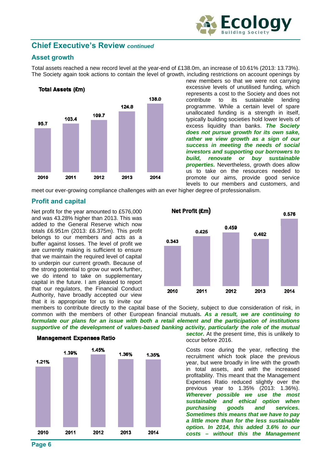

# **Asset growth**

Total assets reached a new record level at the year-end of £138.0m, an increase of 10.61% (2013: 13.73%). The Society again took actions to contain the level of growth, including restrictions on account openings by



new members so that we were not carrying excessive levels of unutilised funding, which represents a cost to the Society and does not contribute to its sustainable lending programme. While a certain level of spare unallocated funding is a strength in itself, typically building societies hold lower levels of excess liquidity than banks. *The Society does not pursue growth for its own sake, rather we view growth as a sign of our success in meeting the needs of social investors and supporting our borrowers to build, renovate or buy sustainable properties.* Nevertheless, growth does allow us to take on the resources needed to promote our aims, provide good service levels to our members and customers, and

meet our ever-growing compliance challenges with an ever higher degree of professionalism.

# **Profit and capital**

Net profit for the year amounted to £576,000 and was 43.28% higher than 2013. This was added to the General Reserve which now totals £6.951m (2013: £6.375m). This profit belongs to our members and acts as a buffer against losses. The level of profit we are currently making is sufficient to ensure that we maintain the required level of capital to underpin our current growth. Because of the strong potential to grow our work further, we do intend to take on supplementary capital in the future. I am pleased to report that our regulators, the Financial Conduct Authority, have broadly accepted our view that it is appropriate for us to invite our



members to contribute directly to the capital base of the Society, subject to due consideration of risk, in common with the members of other European financial mutuals*. As a result, we are continuing to formulate our plans for an issue with both a retail element and the participation of institutions supportive of the development of values-based banking activity, particularly the role of the mutual* 



**Management Expenses Ratio** 

sector. At the present time, this is unlikely to occur before 2016.

Costs rose during the year, reflecting the recruitment which took place the previous year, but were broadly in line with the growth in total assets, and with the increased profitability. This meant that the Management Expenses Ratio reduced slightly over the previous year to 1.35% (2013: 1.36%). *Wherever possible we use the most sustainable and ethical option when purchasing goods and services. Sometimes this means that we have to pay a little more than for the less sustainable option. In 2014, this added 3.6% to our costs – without this the Management*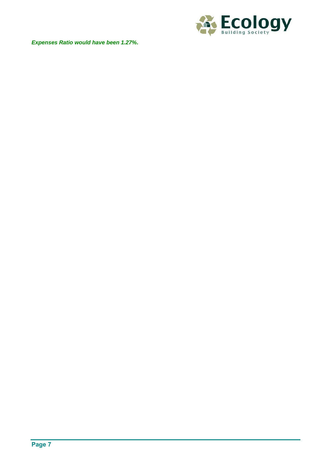



**Page 7**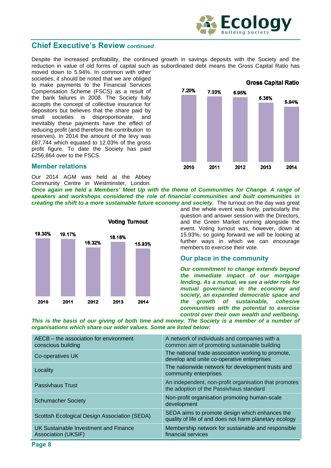

Despite the increased profitability, the continued growth in savings deposits with the Society and the reduction in value of old forms of capital such as subordinated debt means the Gross Capital Ratio has

moved down to 5.94%. In common with other societies, it should be noted that we are obliged to make payments to the Financial Services Compensation Scheme (FSCS) as a result of the bank failures in 2008. The Society fully accepts the concept of collective insurance for depositors but believes that the share paid by small societies is disproportionate, and inevitably these payments have the effect of reducing profit (and therefore the contribution to reserves). In 2014 the amount of the levy was £87,744 which equated to 12.03% of the gross profit figure. To date the Society has paid £256,864 over to the FSCS.

#### **Member relations**

Our 2014 AGM was held at the Abbey Community Centre in Westminster, London.

*Once again we held a Members' Meet Up with the theme of Communities for Change. A range of speakers and workshops considered the role of financial communities and built communities in creating the shift to a more sustainable future economy and society.* The turnout on the day was great



and the whole event was lively, particularly the question and answer session with the Directors, and the Green Market running alongside the event. Voting turnout was, however, down at 15.93%, so going forward we will be looking at further ways in which we can encourage members to exercise their vote.

#### **Our place in the community**

*Our commitment to change extends beyond the immediate impact of our mortgage lending. As a mutual, we see a wider role for mutual governance in the economy and society, an expanded democratic space and the growth of sustainable, cohesive communities with the potential to exercise control over their own wealth and wellbeing.* 

This is the basis of our giving of both time and money. The Society is a member of a number of *organisations which share our wider values. Some are listed below:*

| AECB – the association for environment<br>conscious building | A network of individuals and companies with a<br>common aim of promoting sustainable building            |
|--------------------------------------------------------------|----------------------------------------------------------------------------------------------------------|
| Co-operatives UK                                             | The national trade association working to promote,<br>develop and unite co-operative enterprises         |
| Locality                                                     | The nationwide network for development trusts and<br>community enterprises                               |
| <b>Passivhaus Trust</b>                                      | An independent, non-profit organisation that promotes<br>the adoption of the Passivhaus standard         |
| <b>Schumacher Society</b>                                    | Non-profit organisation promoting human-scale<br>development                                             |
| Scottish Ecological Design Association (SEDA)                | SEDA aims to promote design which enhances the<br>quality of life of and does not harm planetary ecology |
| UK Sustainable Investment and Finance<br>Association (UKSIF) | Membership network for sustainable and responsible<br>financial services                                 |

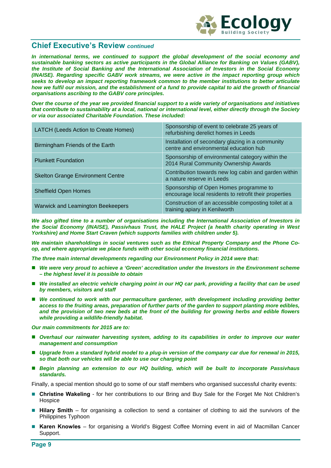

*In international terms, we continued to support the global development of the social economy and sustainable banking sectors as active participants in the Global Alliance for Banking on Values (GABV), the Institute of Social Banking and the International Association of Investors in the Social Economy (INAISE). Regarding specific GABV work streams, we were active in the impact reporting group which seeks to develop an impact reporting framework common to the member institutions to better articulate how we fulfil our mission, and the establishment of a fund to provide capital to aid the growth of financial organisations ascribing to the GABV core principles.* 

*Over the course of the year we provided financial support to a wide variety of organisations and initiatives that contribute to sustainability at a local, national or international level, either directly through the Society or via our associated Charitable Foundation. These included:* 

| LATCH (Leeds Action to Create Homes)     | Sponsorship of event to celebrate 25 years of<br>refurbishing derelict homes in Leeds            |
|------------------------------------------|--------------------------------------------------------------------------------------------------|
| Birmingham Friends of the Earth          | Installation of secondary glazing in a community<br>centre and environmental education hub       |
| <b>Plunkett Foundation</b>               | Sponsorship of environmental category within the<br>2014 Rural Community Ownership Awards        |
| <b>Skelton Grange Environment Centre</b> | Contribution towards new log cabin and garden within<br>a nature reserve in Leeds                |
| <b>Sheffield Open Homes</b>              | Sponsorship of Open Homes programme to<br>encourage local residents to retrofit their properties |
| <b>Warwick and Leamington Beekeepers</b> | Construction of an accessible composting toilet at a<br>training apiary in Kenilworth            |

*We also gifted time to a number of organisations including the International Association of Investors in the Social Economy (INAISE), Passivhaus Trust, the HALE Project (a health charity operating in West Yorkshire) and Home Start Craven (which supports families with children under 5).* 

*We maintain shareholdings in social ventures such as the Ethical Property Company and the Phone Coop, and where appropriate we place funds with other social economy financial institutions.* 

*The three main internal developments regarding our Environment Policy in 2014 were that:* 

- *We were very proud to achieve a 'Green' accreditation under the Investors in the Environment scheme – the highest level it is possible to obtain*
- We installed an electric vehicle charging point in our HQ car park, providing a facility that can be used *by members, visitors and staff*
- We continued to work with our permaculture gardener, with development including providing better *access to the fruiting areas, preparation of further parts of the garden to support planting more edibles, and the provision of two new beds at the front of the building for growing herbs and edible flowers while providing a wildlife-friendly habitat.*

*Our main commitments for 2015 are to:* 

- *Overhaul our rainwater harvesting system, adding to its capabilities in order to improve our water management and consumption*
- Upgrade from a standard hybrid model to a plug-in version of the company car due for renewal in 2015, *so that both our vehicles will be able to use our charging point*
- *Begin planning an extension to our HQ building, which will be built to incorporate Passivhaus standards.*

Finally, a special mention should go to some of our staff members who organised successful charity events:

- **Christine Wakeling** for her contributions to our Bring and Buy Sale for the Forget Me Not Children's **Hospice**
- **Hilary Smith** for organising a collection to send a container of clothing to aid the survivors of the Philippines Typhoon
- **Karen Knowles** for organising a World's Biggest Coffee Morning event in aid of Macmillan Cancer Support.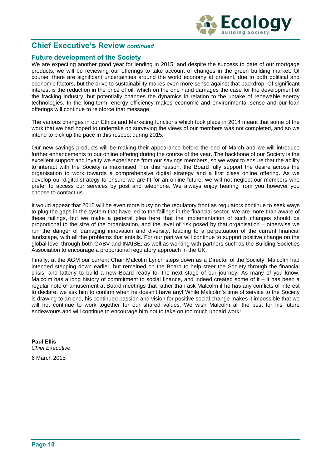

## **Future development of the Society**

We are expecting another good year for lending in 2015, and despite the success to date of our mortgage products, we will be reviewing our offerings to take account of changes in the green building market. Of course, there are significant uncertainties around the world economy at present, due to both political and economic factors, but the drive to sustainability makes even more sense against that backdrop. Of significant interest is the reduction in the price of oil, which on the one hand damages the case for the development of the fracking industry, but potentially changes the dynamics in relation to the uptake of renewable energy technologies. In the long-term, energy efficiency makes economic and environmental sense and our loan offerings will continue to reinforce that message.

The various changes in our Ethics and Marketing functions which took place in 2014 meant that some of the work that we had hoped to undertake on surveying the views of our members was not completed, and so we intend to pick up the pace in this respect during 2015.

Our new savings products will be making their appearance before the end of March and we will introduce further enhancements to our online offering during the course of the year. The backbone of our Society is the excellent support and loyalty we experience from our savings members, so we want to ensure that the ability to interact with the Society is maximised. For this reason, the Board fully support the desire across the organisation to work towards a comprehensive digital strategy and a first class online offering. As we develop our digital strategy to ensure we are fit for an online future, we will not neglect our members who prefer to access our services by post and telephone. We always enjoy hearing from you however you choose to contact us.

It would appear that 2015 will be even more busy on the regulatory front as regulators continue to seek ways to plug the gaps in the system that have led to the failings in the financial sector. We are more than aware of these failings, but we make a general plea here that the implementation of such changes should be proportional to the size of the organisation, and the level of risk posed by that organisation – otherwise we run the danger of damaging innovation and diversity, leading to a perpetuation of the current financial landscape, with all the problems that entails. For our part we will continue to support positive change on the global level through both GABV and INAISE, as well as working with partners such as the Building Societies Association to encourage a proportional regulatory approach in the UK.

Finally, at the AGM our current Chair Malcolm Lynch steps down as a Director of the Society. Malcolm had intended stepping down earlier, but remained on the Board to help steer the Society through the financial crisis, and latterly to build a new Board ready for the next stage of our journey. As many of you know, Malcolm has a long history of commitment to social finance, and indeed created some of it – it has been a regular note of amusement at Board meetings that rather than ask Malcolm if he has any conflicts of interest to declare, we ask him to confirm when he doesn't have any! While Malcolm's time of service to the Society is drawing to an end, his continued passion and vision for positive social change makes it impossible that we will not continue to work together for our shared values. We wish Malcolm all the best for his future endeavours and will continue to encourage him not to take on too much unpaid work!

**Paul Ellis** *Chief Executive*  6 March 2015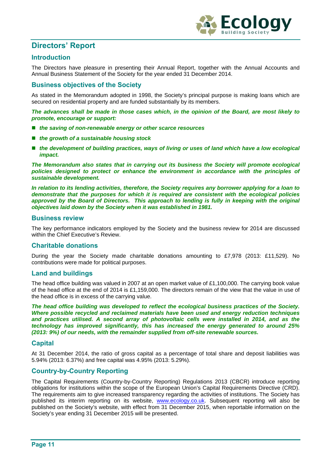

# **Directors' Report**

# **Introduction**

The Directors have pleasure in presenting their Annual Report, together with the Annual Accounts and Annual Business Statement of the Society for the year ended 31 December 2014.

# **Business objectives of the Society**

As stated in the Memorandum adopted in 1998, the Society's principal purpose is making loans which are secured on residential property and are funded substantially by its members.

*The advances shall be made in those cases which, in the opinion of the Board, are most likely to promote, encourage or support:* 

- the saving of non-renewable energy or other scarce resources
- *the growth of a sustainable housing stock*
- the development of building practices, ways of living or uses of land which have a low ecological *impact.*

*The Memorandum also states that in carrying out its business the Society will promote ecological policies designed to protect or enhance the environment in accordance with the principles of sustainable development.* 

*In relation to its lending activities, therefore, the Society requires any borrower applying for a loan to demonstrate that the purposes for which it is required are consistent with the ecological policies approved by the Board of Directors. This approach to lending is fully in keeping with the original objectives laid down by the Society when it was established in 1981.* 

### **Business review**

The key performance indicators employed by the Society and the business review for 2014 are discussed within the Chief Executive's Review.

## **Charitable donations**

During the year the Society made charitable donations amounting to £7,978 (2013: £11,529). No contributions were made for political purposes.

## **Land and buildings**

The head office building was valued in 2007 at an open market value of £1,100,000. The carrying book value of the head office at the end of 2014 is £1,159,000. The directors remain of the view that the value in use of the head office is in excess of the carrying value.

*The head office building was developed to reflect the ecological business practices of the Society. Where possible recycled and reclaimed materials have been used and energy reduction techniques and practices utilised. A second array of photovoltaic cells were installed in 2014, and as the technology has improved significantly, this has increased the energy generated to around 25% (2013: 9%) of our needs, with the remainder supplied from off-site renewable sources.* 

## **Capital**

At 31 December 2014, the ratio of gross capital as a percentage of total share and deposit liabilities was 5.94% (2013: 6.37%) and free capital was 4.95% (2013: 5.29%).

## **Country-by-Country Reporting**

The Capital Requirements (Country-by-Country Reporting) Regulations 2013 (CBCR) introduce reporting obligations for institutions within the scope of the European Union's Capital Requirements Directive (CRD). The requirements aim to give increased transparency regarding the activities of institutions. The Society has published its interim reporting on its website, www.ecology.co.uk. Subsequent reporting will also be published on the Society's website, with effect from 31 December 2015, when reportable information on the Society's year ending 31 December 2015 will be presented.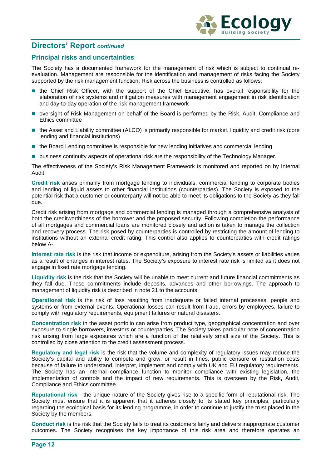

# **Directors' Report** *continued*

# **Principal risks and uncertainties**

The Society has a documented framework for the management of risk which is subject to continual reevaluation. Management are responsible for the identification and management of risks facing the Society supported by the risk management function. Risk across the business is controlled as follows:

- **the Chief Risk Officer, with the support of the Chief Executive, has overall responsibility for the** elaboration of risk systems and mitigation measures with management engagement in risk identification and day-to-day operation of the risk management framework
- oversight of Risk Management on behalf of the Board is performed by the Risk, Audit, Compliance and Ethics committee
- the Asset and Liability committee (ALCO) is primarily responsible for market, liquidity and credit risk (core lending and financial institutions)
- the Board Lending committee is responsible for new lending initiatives and commercial lending
- **business continuity aspects of operational risk are the responsibility of the Technology Manager.**

The effectiveness of the Society's Risk Management Framework is monitored and reported on by Internal Audit.

**Credit risk** arises primarily from mortgage lending to individuals, commercial lending to corporate bodies and lending of liquid assets to other financial institutions (counterparties). The Society is exposed to the potential risk that a customer or counterparty will not be able to meet its obligations to the Society as they fall due.

Credit risk arising from mortgage and commercial lending is managed through a comprehensive analysis of both the creditworthiness of the borrower and the proposed security. Following completion the performance of all mortgages and commercial loans are monitored closely and action is taken to manage the collection and recovery process. The risk posed by counterparties is controlled by restricting the amount of lending to institutions without an external credit rating. This control also applies to counterparties with credit ratings below A-.

**Interest rate risk** is the risk that income or expenditure, arising from the Society's assets or liabilities varies as a result of changes in interest rates. The Society's exposure to interest rate risk is limited as it does not engage in fixed rate mortgage lending.

**Liquidity risk** is the risk that the Society will be unable to meet current and future financial commitments as they fall due. These commitments include deposits, advances and other borrowings. The approach to management of liquidity risk is described in note 21 to the accounts.

**Operational risk** is the risk of loss resulting from inadequate or failed internal processes, people and systems or from external events. Operational losses can result from fraud, errors by employees, failure to comply with regulatory requirements, equipment failures or natural disasters.

**Concentration risk** in the asset portfolio can arise from product type, geographical concentration and over exposure to single borrowers, investors or counterparties. The Society takes particular note of concentration risk arising from large exposures which are a function of the relatively small size of the Society. This is controlled by close attention to the credit assessment process.

**Regulatory and legal risk** is the risk that the volume and complexity of regulatory issues may reduce the Society's capital and ability to compete and grow, or result in fines, public censure or restitution costs because of failure to understand, interpret, implement and comply with UK and EU regulatory requirements. The Society has an internal compliance function to monitor compliance with existing legislation, the implementation of controls and the impact of new requirements. This is overseen by the Risk, Audit, Compliance and Ethics committee.

**Reputational risk** - the unique nature of the Society gives rise to a specific form of reputational risk. The Society must ensure that it is apparent that it adheres closely to its stated key principles, particularly regarding the ecological basis for its lending programme, in order to continue to justify the trust placed in the Society by the members.

**Conduct risk** is the risk that the Society fails to treat its customers fairly and delivers inappropriate customer outcomes. The Society recognises the key importance of this risk area and therefore operates an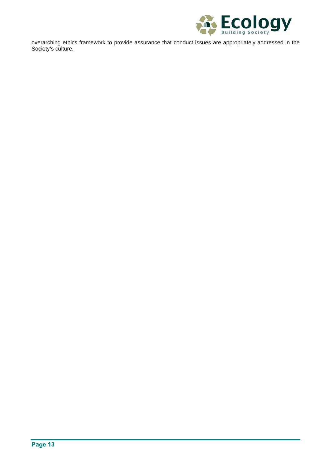

overarching ethics framework to provide assurance that conduct issues are appropriately addressed in the Society's culture.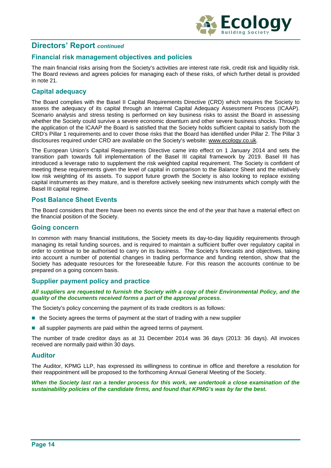

# **Directors' Report** *continued*

# **Financial risk management objectives and policies**

The main financial risks arising from the Society's activities are interest rate risk, credit risk and liquidity risk. The Board reviews and agrees policies for managing each of these risks, of which further detail is provided in note 21.

## **Capital adequacy**

The Board complies with the Basel II Capital Requirements Directive (CRD) which requires the Society to assess the adequacy of its capital through an Internal Capital Adequacy Assessment Process (ICAAP). Scenario analysis and stress testing is performed on key business risks to assist the Board in assessing whether the Society could survive a severe economic downturn and other severe business shocks. Through the application of the ICAAP the Board is satisfied that the Society holds sufficient capital to satisfy both the CRD's Pillar 1 requirements and to cover those risks that the Board has identified under Pillar 2. The Pillar 3 disclosures required under CRD are available on the Society's website: www.ecology.co.uk.

The European Union's Capital Requirements Directive came into effect on 1 January 2014 and sets the transition path towards full implementation of the Basel III capital framework by 2019. Basel III has introduced a leverage ratio to supplement the risk weighted capital requirement. The Society is confident of meeting these requirements given the level of capital in comparison to the Balance Sheet and the relatively low risk weighting of its assets. To support future growth the Society is also looking to replace existing capital instruments as they mature, and is therefore actively seeking new instruments which comply with the Basel III capital regime.

## **Post Balance Sheet Events**

The Board considers that there have been no events since the end of the year that have a material effect on the financial position of the Society.

## **Going concern**

In common with many financial institutions, the Society meets its day-to-day liquidity requirements through managing its retail funding sources, and is required to maintain a sufficient buffer over regulatory capital in order to continue to be authorised to carry on its business. The Society's forecasts and objectives, taking into account a number of potential changes in trading performance and funding retention, show that the Society has adequate resources for the foreseeable future. For this reason the accounts continue to be prepared on a going concern basis.

## **Supplier payment policy and practice**

*All suppliers are requested to furnish the Society with a copy of their Environmental Policy, and the quality of the documents received forms a part of the approval process.* 

The Society's policy concerning the payment of its trade creditors is as follows:

- $\blacksquare$  the Society agrees the terms of payment at the start of trading with a new supplier
- all supplier payments are paid within the agreed terms of payment.

The number of trade creditor days as at 31 December 2014 was 36 days (2013: 36 days). All invoices received are normally paid within 30 days.

#### **Auditor**

The Auditor, KPMG LLP, has expressed its willingness to continue in office and therefore a resolution for their reappointment will be proposed to the forthcoming Annual General Meeting of the Society.

*When the Society last ran a tender process for this work, we undertook a close examination of the sustainability policies of the candidate firms, and found that KPMG's was by far the best.*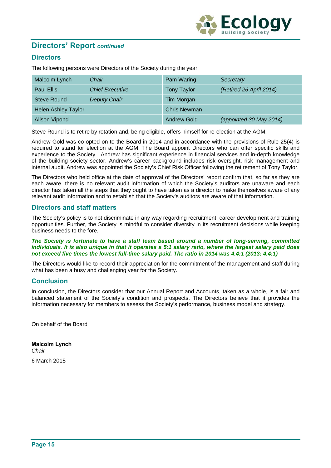

# **Directors' Report** *continued*

# **Directors**

The following persons were Directors of the Society during the year:

| Malcolm Lynch              | Chair                  | Pam Waring          | Secretary               |
|----------------------------|------------------------|---------------------|-------------------------|
| <b>Paul Ellis</b>          | <b>Chief Executive</b> | <b>Tony Taylor</b>  | (Retired 26 April 2014) |
| <b>Steve Round</b>         | <b>Deputy Chair</b>    | Tim Morgan          |                         |
| <b>Helen Ashley Taylor</b> |                        | <b>Chris Newman</b> |                         |
| <b>Alison Vipond</b>       |                        | <b>Andrew Gold</b>  | (appointed 30 May 2014) |

Steve Round is to retire by rotation and, being eligible, offers himself for re-election at the AGM.

Andrew Gold was co-opted on to the Board in 2014 and in accordance with the provisions of Rule 25(4) is required to stand for election at the AGM. The Board appoint Directors who can offer specific skills and experience to the Society. Andrew has significant experience in financial services and in-depth knowledge of the building society sector. Andrew's career background includes risk oversight, risk management and internal audit. Andrew was appointed the Society's Chief Risk Officer following the retirement of Tony Taylor.

The Directors who held office at the date of approval of the Directors' report confirm that, so far as they are each aware, there is no relevant audit information of which the Society's auditors are unaware and each director has taken all the steps that they ought to have taken as a director to make themselves aware of any relevant audit information and to establish that the Society's auditors are aware of that information.

## **Directors and staff matters**

The Society's policy is to not discriminate in any way regarding recruitment, career development and training opportunities. Further, the Society is mindful to consider diversity in its recruitment decisions while keeping business needs to the fore.

#### *The Society is fortunate to have a staff team based around a number of long-serving, committed individuals. It is also unique in that it operates a 5:1 salary ratio, where the largest salary paid does not exceed five times the lowest full-time salary paid. The ratio in 2014 was 4.4:1 (2013: 4.4:1)*

The Directors would like to record their appreciation for the commitment of the management and staff during what has been a busy and challenging year for the Society.

## **Conclusion**

In conclusion, the Directors consider that our Annual Report and Accounts, taken as a whole, is a fair and balanced statement of the Society's condition and prospects. The Directors believe that it provides the information necessary for members to assess the Society's performance, business model and strategy.

On behalf of the Board

**Malcolm Lynch** *Chair*  6 March 2015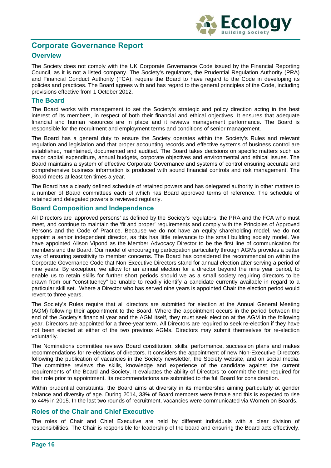

# **Corporate Governance Report**

# **Overview**

The Society does not comply with the UK Corporate Governance Code issued by the Financial Reporting Council, as it is not a listed company. The Society's regulators, the Prudential Regulation Authority (PRA) and Financial Conduct Authority (FCA), require the Board to have regard to the Code in developing its policies and practices. The Board agrees with and has regard to the general principles of the Code, including provisions effective from 1 October 2012.

### **The Board**

The Board works with management to set the Society's strategic and policy direction acting in the best interest of its members, in respect of both their financial and ethical objectives. It ensures that adequate financial and human resources are in place and it reviews management performance. The Board is responsible for the recruitment and employment terms and conditions of senior management.

The Board has a general duty to ensure the Society operates within the Society's Rules and relevant regulation and legislation and that proper accounting records and effective systems of business control are established, maintained, documented and audited. The Board takes decisions on specific matters such as major capital expenditure, annual budgets, corporate objectives and environmental and ethical issues. The Board maintains a system of effective Corporate Governance and systems of control ensuring accurate and comprehensive business information is produced with sound financial controls and risk management. The Board meets at least ten times a year.

The Board has a clearly defined schedule of retained powers and has delegated authority in other matters to a number of Board committees each of which has Board approved terms of reference. The schedule of retained and delegated powers is reviewed regularly.

### **Board Composition and Independence**

All Directors are 'approved persons' as defined by the Society's regulators, the PRA and the FCA who must meet, and continue to maintain the 'fit and proper' requirements and comply with the Principles of Approved Persons and the Code of Practice. Because we do not have an equity shareholding model, we do not appoint a senior independent director, as this has little relevance to the small building society model. We have appointed Alison Vipond as the Member Advocacy Director to be the first line of communication for members and the Board. Our model of encouraging participation particularly through AGMs provides a better way of ensuring sensitivity to member concerns. The Board has considered the recommendation within the Corporate Governance Code that Non-Executive Directors stand for annual election after serving a period of nine years. By exception, we allow for an annual election for a director beyond the nine year period, to enable us to retain skills for further short periods should we as a small society requiring directors to be drawn from our "constituency" be unable to readily identify a candidate currently available in regard to a particular skill set. Where a Director who has served nine years is appointed Chair the election period would revert to three years.

The Society's Rules require that all directors are submitted for election at the Annual General Meeting (AGM) following their appointment to the Board. Where the appointment occurs in the period between the end of the Society's financial year and the AGM itself, they must seek election at the AGM in the following year. Directors are appointed for a three-year term. All Directors are required to seek re-election if they have not been elected at either of the two previous AGMs. Directors may submit themselves for re-election voluntarily.

The Nominations committee reviews Board constitution, skills, performance, succession plans and makes recommendations for re-elections of directors. It considers the appointment of new Non-Executive Directors following the publication of vacancies in the Society newsletter, the Society website, and on social media. The committee reviews the skills, knowledge and experience of the candidate against the current requirements of the Board and Society. It evaluates the ability of Directors to commit the time required for their role prior to appointment. Its recommendations are submitted to the full Board for consideration.

Within prudential constraints, the Board aims at diversity in its membership aiming particularly at gender balance and diversity of age. During 2014, 33% of Board members were female and this is expected to rise to 44% in 2015. In the last two rounds of recruitment, vacancies were communicated via Women on Boards.

## **Roles of the Chair and Chief Executive**

The roles of Chair and Chief Executive are held by different individuals with a clear division of responsibilities. The Chair is responsible for leadership of the board and ensuring the Board acts effectively.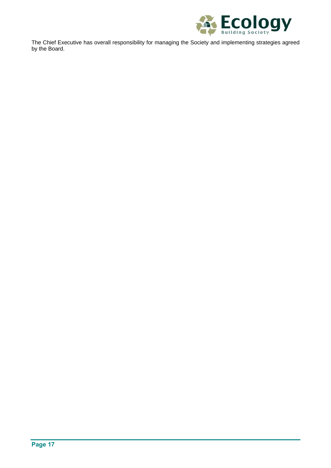

The Chief Executive has overall responsibility for managing the Society and implementing strategies agreed by the Board.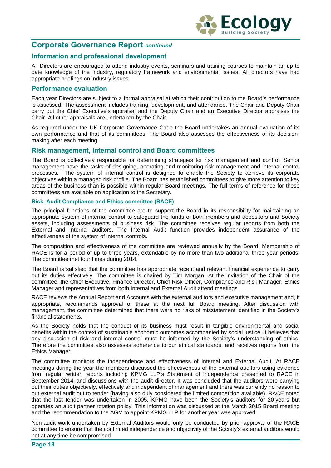

# **Corporate Governance Report** *continued*

# **Information and professional development**

All Directors are encouraged to attend industry events, seminars and training courses to maintain an up to date knowledge of the industry, regulatory framework and environmental issues. All directors have had appropriate briefings on industry issues.

### **Performance evaluation**

Each year Directors are subject to a formal appraisal at which their contribution to the Board's performance is assessed. The assessment includes training, development, and attendance. The Chair and Deputy Chair carry out the Chief Executive's appraisal and the Deputy Chair and an Executive Director appraises the Chair. All other appraisals are undertaken by the Chair.

As required under the UK Corporate Governance Code the Board undertakes an annual evaluation of its own performance and that of its committees. The Board also assesses the effectiveness of its decisionmaking after each meeting.

### **Risk management, internal control and Board committees**

The Board is collectively responsible for determining strategies for risk management and control. Senior management have the tasks of designing, operating and monitoring risk management and internal control processes. The system of internal control is designed to enable the Society to achieve its corporate objectives within a managed risk profile. The Board has established committees to give more attention to key areas of the business than is possible within regular Board meetings. The full terms of reference for these committees are available on application to the Secretary.

#### **Risk, Audit Compliance and Ethics committee (RACE)**

The principal functions of the committee are to support the Board in its responsibility for maintaining an appropriate system of internal control to safeguard the funds of both members and depositors and Society assets, including assessments of business risk. The committee receives regular reports from both the External and Internal auditors. The Internal Audit function provides independent assurance of the effectiveness of the system of internal controls.

The composition and effectiveness of the committee are reviewed annually by the Board. Membership of RACE is for a period of up to three years, extendable by no more than two additional three year periods. The committee met four times during 2014.

The Board is satisfied that the committee has appropriate recent and relevant financial experience to carry out its duties effectively. The committee is chaired by Tim Morgan. At the invitation of the Chair of the committee, the Chief Executive, Finance Director, Chief Risk Officer, Compliance and Risk Manager, Ethics Manager and representatives from both Internal and External Audit attend meetings.

RACE reviews the Annual Report and Accounts with the external auditors and executive management and, if appropriate, recommends approval of these at the next full Board meeting. After discussion with management, the committee determined that there were no risks of misstatement identified in the Society's financial statements.

As the Society holds that the conduct of its business must result in tangible environmental and social benefits within the context of sustainable economic outcomes accompanied by social justice, it believes that any discussion of risk and internal control must be informed by the Society's understanding of ethics. Therefore the committee also assesses adherence to our ethical standards, and receives reports from the Ethics Manager.

The committee monitors the independence and effectiveness of Internal and External Audit. At RACE meetings during the year the members discussed the effectiveness of the external auditors using evidence from regular written reports including KPMG LLP's Statement of Independence presented to RACE in September 2014, and discussions with the audit director. It was concluded that the auditors were carrying out their duties objectively, effectively and independent of management and there was currently no reason to put external audit out to tender (having also duly considered the limited competition available). RACE noted that the last tender was undertaken in 2005. KPMG have been the Society's auditors for 20 years but operates an audit partner rotation policy. This information was discussed at the March 2015 Board meeting and the recommendation to the AGM to appoint KPMG LLP for another year was approved.

Non-audit work undertaken by External Auditors would only be conducted by prior approval of the RACE committee to ensure that the continued independence and objectivity of the Society's external auditors would not at any time be compromised.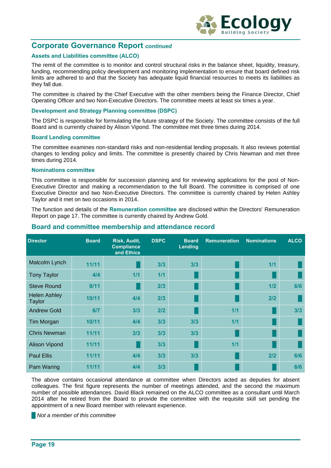

# **Corporate Governance Report** *continued*

#### **Assets and Liabilities committee (ALCO)**

The remit of the committee is to monitor and control structural risks in the balance sheet, liquidity, treasury, funding, recommending policy development and monitoring implementation to ensure that board defined risk limits are adhered to and that the Society has adequate liquid financial resources to meets its liabilities as they fall due.

The committee is chaired by the Chief Executive with the other members being the Finance Director, Chief Operating Officer and two Non-Executive Directors. The committee meets at least six times a year.

#### **Development and Strategy Planning committee (DSPC)**

The DSPC is responsible for formulating the future strategy of the Society. The committee consists of the full Board and is currently chaired by Alison Vipond. The committee met three times during 2014.

#### **Board Lending committee**

The committee examines non-standard risks and non-residential lending proposals. It also reviews potential changes to lending policy and limits. The committee is presently chaired by Chris Newman and met three times during 2014.

#### **Nominations committee**

This committee is responsible for succession planning and for reviewing applications for the post of Non-Executive Director and making a recommendation to the full Board. The committee is comprised of one Executive Director and two Non-Executive Directors. The committee is currently chaired by Helen Ashley Taylor and it met on two occasions in 2014.

The function and details of the **Remuneration committee** are disclosed within the Directors' Remuneration Report on page 17. The committee is currently chaired by Andrew Gold.

| <b>Director</b>               | <b>Board</b> | Risk, Audit,<br><b>Compliance</b><br>and Ethics | <b>DSPC</b> | <b>Board</b><br>Lending | <b>Remuneration</b> | <b>Nominations</b> | <b>ALCO</b> |
|-------------------------------|--------------|-------------------------------------------------|-------------|-------------------------|---------------------|--------------------|-------------|
| Malcolm Lynch                 | 11/11        |                                                 | 3/3         | 3/3                     |                     | 1/1                |             |
| <b>Tony Taylor</b>            | 4/4          | 1/1                                             | 1/1         |                         |                     |                    |             |
| <b>Steve Round</b>            | 8/11         |                                                 | 2/3         |                         |                     | 1/2                | 6/6         |
| <b>Helen Ashley</b><br>Taylor | 10/11        | 4/4                                             | 2/3         |                         |                     | 2/2                |             |
| <b>Andrew Gold</b>            | 6/7          | 3/3                                             | 2/2         |                         | 1/1                 |                    | 3/3         |
| Tim Morgan                    | 10/11        | 4/4                                             | 3/3         | 3/3                     | 1/1                 |                    |             |
| <b>Chris Newman</b>           | 11/11        | 3/3                                             | 3/3         | 3/3                     |                     |                    |             |
| <b>Alison Vipond</b>          | 11/11        |                                                 | 3/3         |                         | 1/1                 |                    |             |
| <b>Paul Ellis</b>             | 11/11        | 4/4                                             | 3/3         | 3/3                     |                     | 2/2                | 6/6         |
| Pam Waring                    | 11/11        | 4/4                                             | 3/3         |                         |                     |                    | 6/6         |

#### **Board and committee membership and attendance record**

The above contains occasional attendance at committee when Directors acted as deputies for absent colleagues. The first figure represents the number of meetings attended, and the second the maximum number of possible attendances. David Black remained on the ALCO committee as a consultant until March 2014 after he retired from the Board to provide the committee with the requisite skill set pending the appointment of a new Board member with relevant experience.

**█** *Not a member of this committee*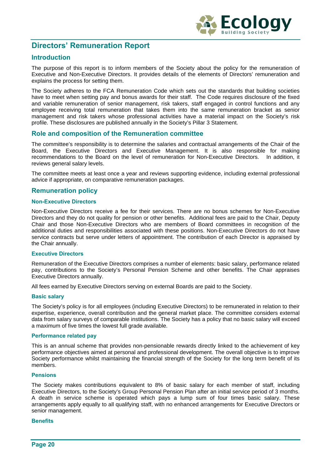

# **Directors' Remuneration Report**

# **Introduction**

The purpose of this report is to inform members of the Society about the policy for the remuneration of Executive and Non-Executive Directors. It provides details of the elements of Directors' remuneration and explains the process for setting them.

The Society adheres to the FCA Remuneration Code which sets out the standards that building societies have to meet when setting pay and bonus awards for their staff. The Code requires disclosure of the fixed and variable remuneration of senior management, risk takers, staff engaged in control functions and any employee receiving total remuneration that takes them into the same remuneration bracket as senior management and risk takers whose professional activities have a material impact on the Society's risk profile. These disclosures are published annually in the Society's Pillar 3 Statement.

## **Role and composition of the Remuneration committee**

The committee's responsibility is to determine the salaries and contractual arrangements of the Chair of the Board, the Executive Directors and Executive Management. It is also responsible for making recommendations to the Board on the level of remuneration for Non-Executive Directors. In addition, it reviews general salary levels.

The committee meets at least once a year and reviews supporting evidence, including external professional advice if appropriate, on comparative remuneration packages.

# **Remuneration policy**

#### **Non-Executive Directors**

Non-Executive Directors receive a fee for their services. There are no bonus schemes for Non-Executive Directors and they do not quality for pension or other benefits. Additional fees are paid to the Chair, Deputy Chair and those Non-Executive Directors who are members of Board committees in recognition of the additional duties and responsibilities associated with these positions. Non-Executive Directors do not have service contracts but serve under letters of appointment. The contribution of each Director is appraised by the Chair annually.

#### **Executive Directors**

Remuneration of the Executive Directors comprises a number of elements: basic salary, performance related pay, contributions to the Society's Personal Pension Scheme and other benefits. The Chair appraises Executive Directors annually.

All fees earned by Executive Directors serving on external Boards are paid to the Society.

#### **Basic salary**

The Society's policy is for all employees (including Executive Directors) to be remunerated in relation to their expertise, experience, overall contribution and the general market place. The committee considers external data from salary surveys of comparable institutions. The Society has a policy that no basic salary will exceed a maximum of five times the lowest full grade available.

#### **Performance related pay**

This is an annual scheme that provides non-pensionable rewards directly linked to the achievement of key performance objectives aimed at personal and professional development. The overall objective is to improve Society performance whilst maintaining the financial strength of the Society for the long term benefit of its members.

#### **Pensions**

The Society makes contributions equivalent to 8% of basic salary for each member of staff, including Executive Directors, to the Society's Group Personal Pension Plan after an initial service period of 3 months. A death in service scheme is operated which pays a lump sum of four times basic salary. These arrangements apply equally to all qualifying staff, with no enhanced arrangements for Executive Directors or senior management.

#### **Benefits**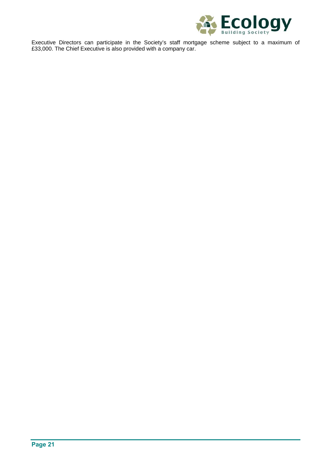

Executive Directors can participate in the Society's staff mortgage scheme subject to a maximum of £33,000. The Chief Executive is also provided with a company car.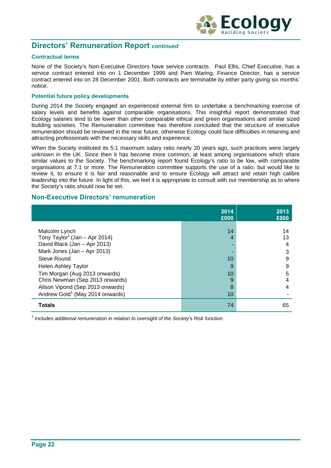

# **Directors' Remuneration Report** *continued*

#### **Contractual terms**

None of the Society's Non-Executive Directors have service contracts. Paul Ellis, Chief Executive, has a service contract entered into on 1 December 1999 and Pam Waring, Finance Director, has a service contract entered into on 28 December 2001. Both contracts are terminable by either party giving six months' notice.

#### **Potential future policy developments**

During 2014 the Society engaged an experienced external firm to undertake a benchmarking exercise of salary levels and benefits against comparable organisations. This insightful report demonstrated that Ecology salaries tend to be lower than other comparable ethical and green organisations and similar sized building societies. The Remuneration committee has therefore concluded that the structure of executive remuneration should be reviewed in the near future, otherwise Ecology could face difficulties in retaining and attracting professionals with the necessary skills and experience.

When the Society instituted its 5:1 maximum salary ratio nearly 20 years ago, such practices were largely unknown in the UK. Since then it has become more common, at least among organisations which share similar values to the Society. The benchmarking report found Ecology's ratio to be low, with comparable organisations at 7:1 or more. The Remuneration committee supports the use of a ratio, but would like to review it, to ensure it is fair and reasonable and to ensure Ecology will attract and retain high calibre leadership into the future. In light of this, we feel it is appropriate to consult with our membership as to where the Society's ratio should now be set.

### **Non-Executive Directors' remuneration**

|                                             | 2014<br>£000 | 2013<br>£000 |
|---------------------------------------------|--------------|--------------|
|                                             |              |              |
| Malcolm Lynch                               | 14           | 14           |
| Tony Taylor <sup>1</sup> (Jan – Apr 2014)   | 4            | 13           |
| David Black (Jan - Apr 2013)                |              | 4            |
| Mark Jones (Jan - Apr 2013)                 |              | 3            |
| Steve Round                                 | 10           | 9            |
| <b>Helen Ashley Taylor</b>                  | 9            | 9            |
| Tim Morgan (Aug 2013 onwards)               | 10           | 5            |
| Chris Newman (Sep 2013 onwards)             | 9            | 4            |
| Alison Vipond (Sep 2013 onwards)            | 8            | 4            |
| Andrew Gold <sup>1</sup> (May 2014 onwards) | 10           |              |
| <b>Totals</b>                               | 74           | 65           |

<sup>1</sup> Includes additional remuneration in relation to oversight of the Society's Risk function.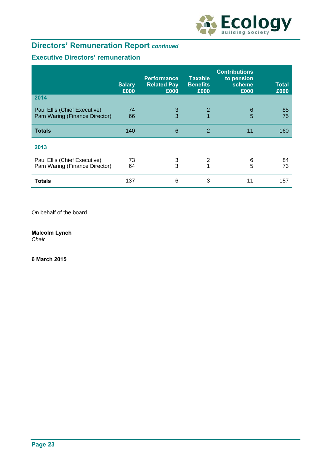

# **Directors' Remuneration Report** *continued*

# **Executive Directors' remuneration**

|                                                               | <b>Salary</b><br>£000 | <b>Performance</b><br><b>Related Pay</b><br>£000 | <b>Taxable</b><br><b>Benefits</b><br>£000 | <b>Contributions</b><br>to pension<br>scheme<br>£000 | Total<br>£000 |
|---------------------------------------------------------------|-----------------------|--------------------------------------------------|-------------------------------------------|------------------------------------------------------|---------------|
| 2014                                                          |                       |                                                  |                                           |                                                      |               |
| Paul Ellis (Chief Executive)<br>Pam Waring (Finance Director) | 74<br>66              | 3<br>3                                           | $\overline{2}$<br>$\overline{1}$          | $6\phantom{1}6$<br>5                                 | 85<br>75      |
| <b>Totals</b>                                                 | 140                   | 6                                                | 2                                         | 11                                                   | 160           |
| 2013                                                          |                       |                                                  |                                           |                                                      |               |
| Paul Ellis (Chief Executive)                                  | 73                    | 3                                                | 2                                         | 6                                                    | 84            |
| Pam Waring (Finance Director)                                 | 64                    | 3                                                |                                           | 5                                                    | 73            |
| <b>Totals</b>                                                 | 137                   | 6                                                | 3                                         | 11                                                   | 157           |

On behalf of the board

**Malcolm Lynch** 

*Chair*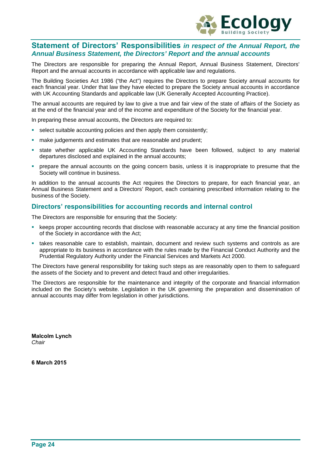

# **Statement of Directors' Responsibilities** *in respect of the Annual Report, the Annual Business Statement, the Directors' Report and the annual accounts*

The Directors are responsible for preparing the Annual Report, Annual Business Statement, Directors' Report and the annual accounts in accordance with applicable law and regulations.

The Building Societies Act 1986 ("the Act") requires the Directors to prepare Society annual accounts for each financial year. Under that law they have elected to prepare the Society annual accounts in accordance with UK Accounting Standards and applicable law (UK Generally Accepted Accounting Practice).

The annual accounts are required by law to give a true and fair view of the state of affairs of the Society as at the end of the financial year and of the income and expenditure of the Society for the financial year.

In preparing these annual accounts, the Directors are required to:

- select suitable accounting policies and then apply them consistently;
- make judgements and estimates that are reasonable and prudent;
- state whether applicable UK Accounting Standards have been followed, subject to any material departures disclosed and explained in the annual accounts;
- prepare the annual accounts on the going concern basis, unless it is inappropriate to presume that the Society will continue in business.

In addition to the annual accounts the Act requires the Directors to prepare, for each financial year, an Annual Business Statement and a Directors' Report, each containing prescribed information relating to the business of the Society.

### **Directors' responsibilities for accounting records and internal control**

The Directors are responsible for ensuring that the Society:

- keeps proper accounting records that disclose with reasonable accuracy at any time the financial position of the Society in accordance with the Act;
- takes reasonable care to establish, maintain, document and review such systems and controls as are appropriate to its business in accordance with the rules made by the Financial Conduct Authority and the Prudential Regulatory Authority under the Financial Services and Markets Act 2000.

The Directors have general responsibility for taking such steps as are reasonably open to them to safeguard the assets of the Society and to prevent and detect fraud and other irregularities.

The Directors are responsible for the maintenance and integrity of the corporate and financial information included on the Society's website. Legislation in the UK governing the preparation and dissemination of annual accounts may differ from legislation in other jurisdictions.

**Malcolm Lynch**  *Chair*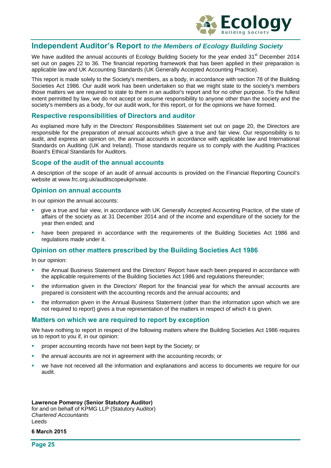

# **Independent Auditor's Report** *to the Members of Ecology Building Society*

We have audited the annual accounts of Ecology Building Society for the year ended 31<sup>st</sup> December 2014 set out on pages 22 to 36. The financial reporting framework that has been applied in their preparation is applicable law and UK Accounting Standards (UK Generally Accepted Accounting Practice).

This report is made solely to the Society's members, as a body, in accordance with section 78 of the Building Societies Act 1986. Our audit work has been undertaken so that we might state to the society's members those matters we are required to state to them in an auditor's report and for no other purpose. To the fullest extent permitted by law, we do not accept or assume responsibility to anyone other than the society and the society's members as a body, for our audit work, for this report, or for the opinions we have formed.

### **Respective responsibilities of Directors and auditor**

As explained more fully in the Directors' Responsibilities Statement set out on page 20, the Directors are responsible for the preparation of annual accounts which give a true and fair view. Our responsibility is to audit, and express an opinion on, the annual accounts in accordance with applicable law and International Standards on Auditing (UK and Ireland). Those standards require us to comply with the Auditing Practices Board's Ethical Standards for Auditors.

### **Scope of the audit of the annual accounts**

A description of the scope of an audit of annual accounts is provided on the Financial Reporting Council's website at www.frc.org.uk/auditscopeukprivate.

### **Opinion on annual accounts**

In our opinion the annual accounts:

- give a true and fair view, in accordance with UK Generally Accepted Accounting Practice, of the state of affairs of the society as at 31 December 2014 and of the income and expenditure of the society for the year then ended; and
- have been prepared in accordance with the requirements of the Building Societies Act 1986 and regulations made under it.

## **Opinion on other matters prescribed by the Building Societies Act 1986**

In our opinion:

- the Annual Business Statement and the Directors' Report have each been prepared in accordance with the applicable requirements of the Building Societies Act 1986 and regulations thereunder;
- the information given in the Directors' Report for the financial year for which the annual accounts are prepared is consistent with the accounting records and the annual accounts; and
- the information given in the Annual Business Statement (other than the information upon which we are not required to report) gives a true representation of the matters in respect of which it is given.

#### **Matters on which we are required to report by exception**

We have nothing to report in respect of the following matters where the Building Societies Act 1986 requires us to report to you if, in our opinion:

- proper accounting records have not been kept by the Society; or
- the annual accounts are not in agreement with the accounting records; or
- we have not received all the information and explanations and access to documents we require for our audit.

#### **Lawrence Pomeroy (Senior Statutory Auditor)**

for and on behalf of KPMG LLP (Statutory Auditor) *Chartered Accountants*  Leeds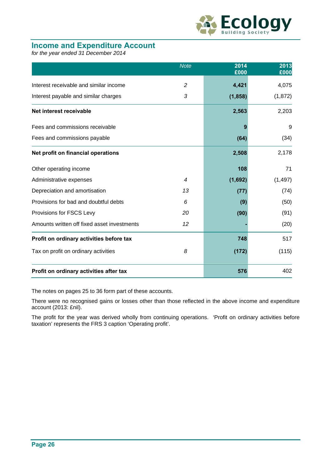

# **Income and Expenditure Account**

*for the year ended 31 December 2014* 

|                                             | <b>Note</b>    | 2014<br>£000 | 2013<br>£000 |
|---------------------------------------------|----------------|--------------|--------------|
| Interest receivable and similar income      | $\overline{c}$ | 4,421        | 4,075        |
| Interest payable and similar charges        | 3              | (1, 858)     | (1, 872)     |
| Net interest receivable                     |                | 2,563        | 2,203        |
| Fees and commissions receivable             |                |              | 9            |
| Fees and commissions payable                |                | (64)         | (34)         |
| Net profit on financial operations          |                | 2,508        | 2,178        |
| Other operating income                      |                | 108          | 71           |
| Administrative expenses                     | $\overline{4}$ | (1,692)      | (1, 497)     |
| Depreciation and amortisation               | 13             | (77)         | (74)         |
| Provisions for bad and doubtful debts       | 6              | (9)          | (50)         |
| Provisions for FSCS Levy                    | 20             | (90)         | (91)         |
| Amounts written off fixed asset investments | 12             |              | (20)         |
| Profit on ordinary activities before tax    |                | 748          | 517          |
| Tax on profit on ordinary activities        | 8              | (172)        | (115)        |
| Profit on ordinary activities after tax     |                | 576          | 402          |

The notes on pages 25 to 36 form part of these accounts.

There were no recognised gains or losses other than those reflected in the above income and expenditure account (2013: £nil).

The profit for the year was derived wholly from continuing operations. 'Profit on ordinary activities before taxation' represents the FRS 3 caption 'Operating profit'.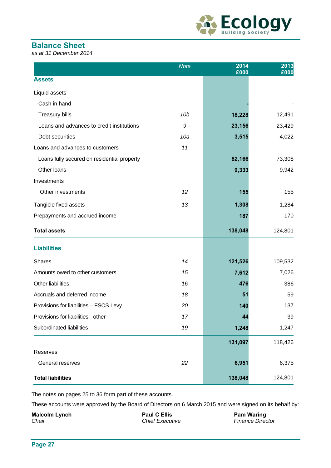

# **Balance Sheet**

*as at 31 December 2014* 

|                                             | <b>Note</b> | 2014<br>£000 | 2013<br>£000 |
|---------------------------------------------|-------------|--------------|--------------|
| <b>Assets</b>                               |             |              |              |
| Liquid assets                               |             |              |              |
| Cash in hand                                |             |              |              |
| <b>Treasury bills</b>                       | 10b         | 18,228       | 12,491       |
| Loans and advances to credit institutions   | 9           | 23,156       | 23,429       |
| Debt securities                             | 10a         | 3,515        | 4,022        |
| Loans and advances to customers             | 11          |              |              |
| Loans fully secured on residential property |             | 82,166       | 73,308       |
| Other loans                                 |             | 9,333        | 9,942        |
| Investments                                 |             |              |              |
| Other investments                           | 12          | 155          | 155          |
| Tangible fixed assets                       | 13          | 1,308        | 1,284        |
| Prepayments and accrued income              |             | 187          | 170          |
| <b>Total assets</b>                         |             | 138,048      | 124,801      |
| <b>Liabilities</b>                          |             |              |              |
| <b>Shares</b>                               | 14          | 121,526      | 109,532      |
| Amounts owed to other customers             | 15          | 7,612        | 7,026        |
| Other liabilities                           | 16          | 476          | 386          |
| Accruals and deferred income                | 18          | 51           | 59           |
| Provisions for liabilities - FSCS Levy      | 20          | 140          | 137          |
| Provisions for liabilities - other          | 17          | 44           | 39           |
| Subordinated liabilities                    | 19          | 1,248        | 1,247        |
|                                             |             | 131,097      | 118,426      |
| Reserves                                    |             |              |              |
| General reserves                            | 22          | 6,951        | 6,375        |
| <b>Total liabilities</b>                    |             | 138,048      | 124,801      |

The notes on pages 25 to 36 form part of these accounts.

These accounts were approved by the Board of Directors on 6 March 2015 and were signed on its behalf by:

**Malcolm Lynch CELLIS** Paul C Ellis **Paul C Ellis** Pam Waring *Chair Chief Executive Finance Director*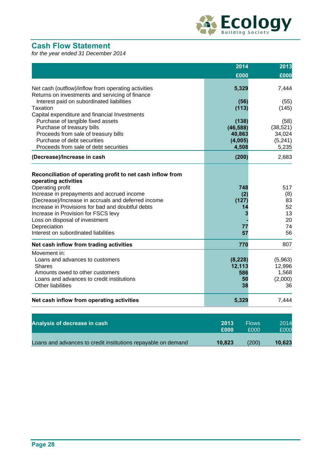

# **Cash Flow Statement**

*for the year ended 31 December 2014* 

|                                                                                                        | 2014               | 2013                 |
|--------------------------------------------------------------------------------------------------------|--------------------|----------------------|
|                                                                                                        | £000               | £000                 |
| Net cash (outflow)/inflow from operating activities<br>Returns on investments and servicing of finance | 5,329              | 7,444                |
| Interest paid on subordinated liabilities<br><b>Taxation</b>                                           | (56)<br>(113)      | (55)<br>(145)        |
| Capital expenditure and financial Investments                                                          |                    |                      |
| Purchase of tangible fixed assets                                                                      | (138)              | (58)                 |
| Purchase of treasury bills                                                                             | (46, 588)          | (38, 521)            |
| Proceeds from sale of treasury bills<br>Purchase of debt securities                                    | 40,863<br>(4,005)  | 34,024<br>(5, 241)   |
| Proceeds from sale of debt securities                                                                  | 4,508              | 5,235                |
| (Decrease)/Increase in cash                                                                            | (200)              | 2,683                |
|                                                                                                        |                    |                      |
| Reconciliation of operating profit to net cash inflow from<br>operating activities                     |                    |                      |
| Operating profit                                                                                       | 748                | 517                  |
| Increase in prepayments and accrued income                                                             | (2)                | (8)                  |
| (Decrease)/Increase in accruals and deferred income                                                    | (127)              | 83                   |
| Increase in Provisions for bad and doubtful debts                                                      | 14                 | 52                   |
| Increase in Provision for FSCS levy                                                                    |                    | 13                   |
| Loss on disposal of investment                                                                         |                    | 20                   |
| Depreciation                                                                                           | 77                 | 74                   |
| Interest on subordinated liabilities                                                                   | 57                 | 56                   |
| Net cash inflow from trading activities                                                                | 770                | 807                  |
| Movement in:                                                                                           |                    |                      |
| Loans and advances to customers<br><b>Shares</b>                                                       | (8, 228)<br>12,113 | (5,963)<br>12,996    |
| Amounts owed to other customers                                                                        | 586                | 1,568                |
| Loans and advances to credit institutions                                                              | 50                 | (2,000)              |
| Other liabilities                                                                                      | 38                 | 36                   |
| Net cash inflow from operating activities                                                              | 5,329              | 7,444                |
| Analysis of decrease in cash                                                                           | 2013               | <b>Flows</b><br>2014 |
|                                                                                                        | £000               | £000<br>£000         |

Loans and advances to credit institutions repayable on demand **10,823** (200) **10,623**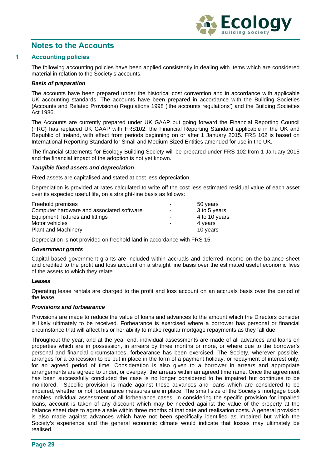

# **Notes to the Accounts**

#### **1 Accounting policies**

The following accounting policies have been applied consistently in dealing with items which are considered material in relation to the Society's accounts.

#### *Basis of preparation*

The accounts have been prepared under the historical cost convention and in accordance with applicable UK accounting standards. The accounts have been prepared in accordance with the Building Societies (Accounts and Related Provisions) Regulations 1998 ('the accounts regulations') and the Building Societies Act 1986.

The Accounts are currently prepared under UK GAAP but going forward the Financial Reporting Council (FRC) has replaced UK GAAP with FRS102, the Financial Reporting Standard applicable in the UK and Republic of Ireland, with effect from periods beginning on or after 1 January 2015. FRS 102 is based on International Reporting Standard for Small and Medium Sized Entities amended for use in the UK.

The financial statements for Ecology Building Society will be prepared under FRS 102 from 1 January 2015 and the financial impact of the adoption is not yet known.

#### *Tangible fixed assets and depreciation*

Fixed assets are capitalised and stated at cost less depreciation.

Depreciation is provided at rates calculated to write off the cost less estimated residual value of each asset over its expected useful life, on a straight-line basis as follows:

| ۰                        | 50 years      |
|--------------------------|---------------|
| ٠                        | 3 to 5 years  |
| $\overline{\phantom{0}}$ | 4 to 10 years |
| $\sim$                   | 4 years       |
| ۰                        | 10 years      |
|                          |               |

Depreciation is not provided on freehold land in accordance with FRS 15.

#### *Government grants*

Capital based government grants are included within accruals and deferred income on the balance sheet and credited to the profit and loss account on a straight line basis over the estimated useful economic lives of the assets to which they relate.

#### *Leases*

Operating lease rentals are charged to the profit and loss account on an accruals basis over the period of the lease.

#### *Provisions and forbearance*

Provisions are made to reduce the value of loans and advances to the amount which the Directors consider is likely ultimately to be received. Forbearance is exercised where a borrower has personal or financial circumstance that will affect his or her ability to make regular mortgage repayments as they fall due.

Throughout the year, and at the year end, individual assessments are made of all advances and loans on properties which are in possession, in arrears by three months or more, or where due to the borrower's personal and financial circumstances, forbearance has been exercised. The Society, wherever possible, arranges for a concession to be put in place in the form of a payment holiday, or repayment of interest only, for an agreed period of time. Consideration is also given to a borrower in arrears and appropriate arrangements are agreed to under, or overpay, the arrears within an agreed timeframe. Once the agreement has been successfully concluded the case is no longer considered to be impaired but continues to be monitored. Specific provision is made against those advances and loans which are considered to be impaired, whether or not forbearance measures are in place. The small size of the Society's mortgage book enables individual assessment of all forbearance cases. In considering the specific provision for impaired loans, account is taken of any discount which may be needed against the value of the property at the balance sheet date to agree a sale within three months of that date and realisation costs. A general provision is also made against advances which have not been specifically identified as impaired but which the Society's experience and the general economic climate would indicate that losses may ultimately be realised.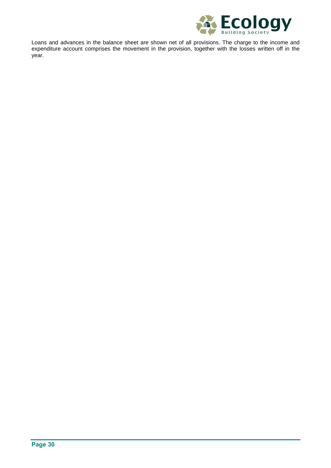

Loans and advances in the balance sheet are shown net of all provisions. The charge to the income and expenditure account comprises the movement in the provision, together with the losses written off in the year.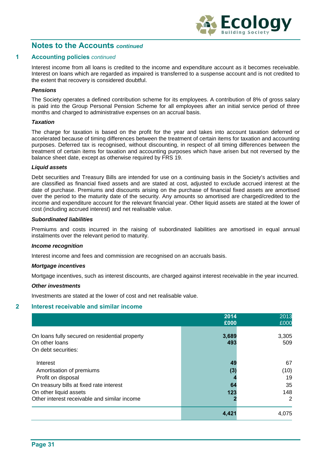

#### **1 Accounting policies** *continued*

Interest income from all loans is credited to the income and expenditure account as it becomes receivable. Interest on loans which are regarded as impaired is transferred to a suspense account and is not credited to the extent that recovery is considered doubtful.

#### *Pensions*

The Society operates a defined contribution scheme for its employees. A contribution of 8% of gross salary is paid into the Group Personal Pension Scheme for all employees after an initial service period of three months and charged to administrative expenses on an accrual basis.

#### *Taxation*

The charge for taxation is based on the profit for the year and takes into account taxation deferred or accelerated because of timing differences between the treatment of certain items for taxation and accounting purposes. Deferred tax is recognised, without discounting, in respect of all timing differences between the treatment of certain items for taxation and accounting purposes which have arisen but not reversed by the balance sheet date, except as otherwise required by FRS 19.

### *Liquid assets*

Debt securities and Treasury Bills are intended for use on a continuing basis in the Society's activities and are classified as financial fixed assets and are stated at cost, adjusted to exclude accrued interest at the date of purchase. Premiums and discounts arising on the purchase of financial fixed assets are amortised over the period to the maturity date of the security. Any amounts so amortised are charged/credited to the income and expenditure account for the relevant financial year. Other liquid assets are stated at the lower of cost (including accrued interest) and net realisable value.

#### *Subordinated liabilities*

Premiums and costs incurred in the raising of subordinated liabilities are amortised in equal annual instalments over the relevant period to maturity.

#### *Income recognition*

Interest income and fees and commission are recognised on an accruals basis.

#### *Mortgage incentives*

Mortgage incentives, such as interest discounts, are charged against interest receivable in the year incurred.

#### *Other investments*

Investments are stated at the lower of cost and net realisable value.

#### **2 Interest receivable and similar income**

|                                                                                         | 2014         | 2013             |
|-----------------------------------------------------------------------------------------|--------------|------------------|
|                                                                                         | £000         | £000             |
| On loans fully secured on residential property<br>On other loans<br>On debt securities: | 3,689<br>493 | 3,305<br>509     |
| Interest<br>Amortisation of premiums<br>Profit on disposal                              | 49<br>(3)    | 67<br>(10)<br>19 |
| On treasury bills at fixed rate interest                                                | 64           | 35               |
| On other liquid assets<br>Other interest receivable and similar income                  | 123          | 148<br>2         |
|                                                                                         | 4,42         | 4,075            |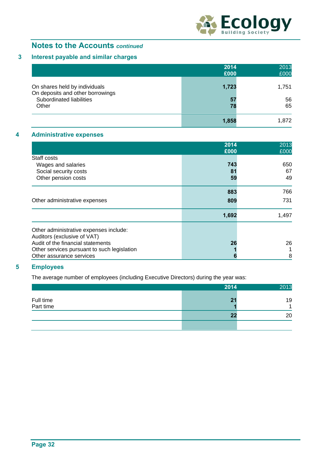

# **3 Interest payable and similar charges**

|                                                                   | 2014<br>£000 | 2013<br>£000 |
|-------------------------------------------------------------------|--------------|--------------|
| On shares held by individuals<br>On deposits and other borrowings | 1,723        | 1,751        |
| Subordinated liabilities<br>Other                                 | 57<br>78     | 56<br>65     |
|                                                                   | 1,858        | 1.872        |

### **4 Administrative expenses**

|                                             | 2014<br>£000 | 2013<br>£000 |
|---------------------------------------------|--------------|--------------|
| Staff costs                                 |              |              |
| Wages and salaries                          | 743          | 650          |
| Social security costs                       | 81           | 67           |
| Other pension costs                         | 59           | 49           |
|                                             | 883          | 766          |
| Other administrative expenses               | 809          | 731          |
|                                             | 1,692        | 1,497        |
| Other administrative expenses include:      |              |              |
| Auditors (exclusive of VAT)                 |              |              |
| Audit of the financial statements           | 26           | 26           |
| Other services pursuant to such legislation |              |              |
| Other assurance services                    | n            | 8            |

# **5 Employees**

The average number of employees (including Executive Directors) during the year was:

|                        | 2014 | 2013    |
|------------------------|------|---------|
| Full time<br>Part time | 21   | 19<br>A |
|                        | 22   | 20      |
|                        |      |         |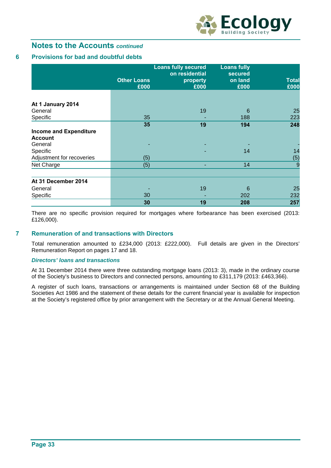

## **6 Provisions for bad and doubtful debts**

|                               |                            | <b>Loans fully secured</b><br>on residential | <b>Loans fully</b><br>secured |                      |
|-------------------------------|----------------------------|----------------------------------------------|-------------------------------|----------------------|
|                               | <b>Other Loans</b><br>£000 | property<br>£000                             | on land<br>£000               | <b>Total</b><br>£000 |
|                               |                            |                                              |                               |                      |
| At 1 January 2014             |                            |                                              |                               |                      |
| General                       |                            | 19                                           | 6                             | 25                   |
| Specific                      | 35                         |                                              | 188                           | 223                  |
|                               | 35                         | 19                                           | 194                           | 248                  |
| <b>Income and Expenditure</b> |                            |                                              |                               |                      |
| <b>Account</b>                |                            |                                              |                               |                      |
| General                       |                            | ٠                                            |                               |                      |
| Specific                      |                            |                                              | 14                            | 14                   |
| Adjustment for recoveries     | (5)                        |                                              |                               | (5)                  |
| Net Charge                    | (5)                        |                                              | 14                            | 9                    |
|                               |                            |                                              |                               |                      |
| At 31 December 2014           |                            |                                              |                               |                      |
| General                       |                            | 19                                           | 6                             | 25                   |
| Specific                      | 30                         |                                              | 202                           | 232                  |
|                               | 30                         | 19                                           | 208                           | 257                  |

There are no specific provision required for mortgages where forbearance has been exercised (2013: £126,000).

#### **7 Remuneration of and transactions with Directors**

Total remuneration amounted to £234,000 (2013: £222,000). Full details are given in the Directors' Remuneration Report on pages 17 and 18.

#### *Directors' loans and transactions*

At 31 December 2014 there were three outstanding mortgage loans (2013: 3), made in the ordinary course of the Society's business to Directors and connected persons, amounting to £311,179 (2013: £463,366).

A register of such loans, transactions or arrangements is maintained under Section 68 of the Building Societies Act 1986 and the statement of these details for the current financial year is available for inspection at the Society's registered office by prior arrangement with the Secretary or at the Annual General Meeting.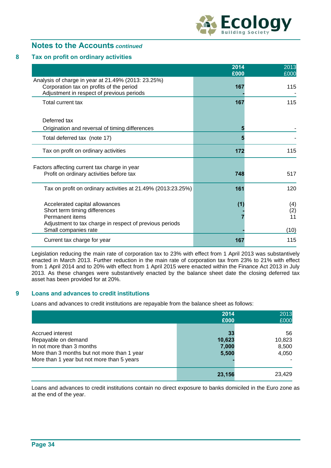

### **8 Tax on profit on ordinary activities**

|                                                                                                                                               | 2014<br>£000 | 2013<br>£000     |
|-----------------------------------------------------------------------------------------------------------------------------------------------|--------------|------------------|
| Analysis of charge in year at 21.49% (2013: 23.25%)<br>Corporation tax on profits of the period<br>Adjustment in respect of previous periods  | 167          | 115              |
| Total current tax                                                                                                                             | 167          | 115              |
| Deferred tax                                                                                                                                  |              |                  |
| Origination and reversal of timing differences                                                                                                | 5            |                  |
| Total deferred tax (note 17)                                                                                                                  |              |                  |
| Tax on profit on ordinary activities                                                                                                          | 172          | 115              |
| Factors affecting current tax charge in year<br>Profit on ordinary activities before tax                                                      | 748          | 517              |
| Tax on profit on ordinary activities at 21.49% (2013:23.25%)                                                                                  | 161          | 120              |
| Accelerated capital allowances<br>Short term timing differences<br>Permanent items<br>Adjustment to tax charge in respect of previous periods | (1)          | (4)<br>(2)<br>11 |
| Small companies rate                                                                                                                          |              | (10)             |
| Current tax charge for year                                                                                                                   | 167          | 115              |

Legislation reducing the main rate of corporation tax to 23% with effect from 1 April 2013 was substantively enacted in March 2013. Further reduction in the main rate of corporation tax from 23% to 21% with effect from 1 April 2014 and to 20% with effect from 1 April 2015 were enacted within the Finance Act 2013 in July 2013. As these changes were substantively enacted by the balance sheet date the closing deferred tax asset has been provided for at 20%.

#### **9 Loans and advances to credit institutions**

Loans and advances to credit institutions are repayable from the balance sheet as follows:

|                                                                                                                                                                   | 2014<br>£000                   | 2013<br>£000                   |
|-------------------------------------------------------------------------------------------------------------------------------------------------------------------|--------------------------------|--------------------------------|
| Accrued interest<br>Repayable on demand<br>In not more than 3 months<br>More than 3 months but not more than 1 year<br>More than 1 year but not more than 5 years | 33<br>10,623<br>7,000<br>5,500 | 56<br>10,823<br>8,500<br>4,050 |
|                                                                                                                                                                   | 23,156                         | 23,429                         |

Loans and advances to credit institutions contain no direct exposure to banks domiciled in the Euro zone as at the end of the year.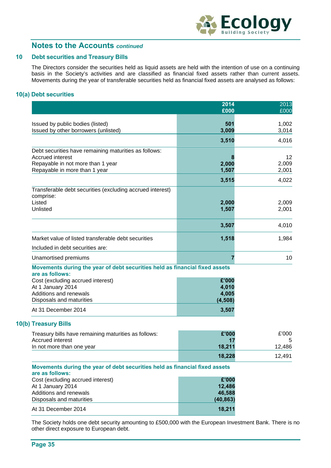

### **10 Debt securities and Treasury Bills**

The Directors consider the securities held as liquid assets are held with the intention of use on a continuing basis in the Society's activities and are classified as financial fixed assets rather than current assets. Movements during the year of transferable securities held as financial fixed assets are analysed as follows:

### **10(a) Debt securities**

|                                                                                                | 2014<br>£000 | 2013<br>£000 |
|------------------------------------------------------------------------------------------------|--------------|--------------|
|                                                                                                |              |              |
| Issued by public bodies (listed)                                                               | 501          | 1,002        |
| Issued by other borrowers (unlisted)                                                           | 3,009        | 3,014        |
|                                                                                                | 3,510        | 4,016        |
| Debt securities have remaining maturities as follows:                                          |              |              |
| <b>Accrued interest</b>                                                                        |              | 12           |
| Repayable in not more than 1 year                                                              | 2,000        | 2,009        |
| Repayable in more than 1 year                                                                  | 1,507        | 2,001        |
|                                                                                                | 3,515        | 4,022        |
| Transferable debt securities (excluding accrued interest)<br>comprise:                         |              |              |
| Listed                                                                                         | 2,000        | 2,009        |
| Unlisted                                                                                       | 1,507        | 2,001        |
|                                                                                                |              |              |
|                                                                                                | 3,507        | 4,010        |
| Market value of listed transferable debt securities                                            | 1,518        | 1,984        |
| Included in debt securities are:                                                               |              |              |
| Unamortised premiums                                                                           | 7            | 10           |
| Movements during the year of debt securities held as financial fixed assets<br>are as follows: |              |              |
| Cost (excluding accrued interest)                                                              | £'000        |              |
| At 1 January 2014                                                                              | 4,010        |              |
| Additions and renewals                                                                         | 4,005        |              |
| Disposals and maturities                                                                       | (4, 508)     |              |
| At 31 December 2014                                                                            | 3,507        |              |
| 10(b) Treasury Bills                                                                           |              |              |
| Treasury bills have remaining maturities as follows:                                           | £'000        | £'000        |
| <b>Accrued interest</b>                                                                        | 17           | 5            |
| In not more than one year                                                                      | 18,211       | 12,486       |
|                                                                                                | 18,228       | 12,491       |
| Movements during the year of debt securities held as financial fixed assets                    |              |              |
| are as follows:<br>Cost (excluding accrued interest)                                           | £'000        |              |
| At 1 January 2014                                                                              | 12,486       |              |
| Additions and renewals                                                                         | 46.588       |              |

The Society holds one debt security amounting to £500,000 with the European Investment Bank. There is no other direct exposure to European debt.

Disposals and maturities **(40,863)** At 31 December 2014 **18,211 18,211**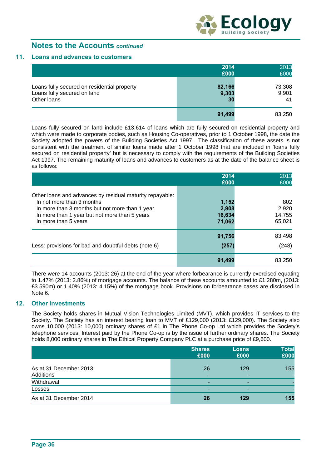

#### **11. Loans and advances to customers**

|                                                                                           | 2014                  | 2013                  |
|-------------------------------------------------------------------------------------------|-----------------------|-----------------------|
|                                                                                           | £000                  | £000                  |
| Loans fully secured on residential property<br>Loans fully secured on land<br>Other loans | 82,166<br>9,303<br>30 | 73,308<br>9,901<br>41 |
|                                                                                           | 91,499                | 83,250                |

 Loans fully secured on land include £13,614 of loans which are fully secured on residential property and which were made to corporate bodies, such as Housing Co-operatives, prior to 1 October 1998, the date the Society adopted the powers of the Building Societies Act 1997. The classification of these assets is not consistent with the treatment of similar loans made after 1 October 1998 that are included in 'loans fully secured on residential property' but is necessary to comply with the requirements of the Building Societies Act 1997. The remaining maturity of loans and advances to customers as at the date of the balance sheet is as follows:

|                                                                                                                                                                                                                  | 2014<br>£000                       | 2013<br>£000                     |
|------------------------------------------------------------------------------------------------------------------------------------------------------------------------------------------------------------------|------------------------------------|----------------------------------|
| Other loans and advances by residual maturity repayable:<br>In not more than 3 months<br>In more than 3 months but not more than 1 year<br>In more than 1 year but not more than 5 years<br>In more than 5 years | 1,152<br>2,908<br>16,634<br>71,062 | 802<br>2,920<br>14,755<br>65,021 |
| Less: provisions for bad and doubtful debts (note 6)                                                                                                                                                             | 91,756<br>(257)                    | 83,498<br>(248)                  |
|                                                                                                                                                                                                                  | 91,499                             | 83,250                           |

There were 14 accounts (2013: 26) at the end of the year where forbearance is currently exercised equating to 1.47% (2013: 2.86%) of mortgage accounts. The balance of these accounts amounted to £1.280m, (2013: £3.590m) or 1.40% (2013: 4.15%) of the mortgage book. Provisions on forbearance cases are disclosed in Note 6.

#### **12. Other investments**

The Society holds shares in Mutual Vision Technologies Limited (MVT), which provides IT services to the Society. The Society has an interest bearing loan to MVT of £129,000 (2013: £129,000). The Society also owns 10,000 (2013: 10,000) ordinary shares of £1 in The Phone Co-op Ltd which provides the Society's telephone services. Interest paid by the Phone Co-op is by the issue of further ordinary shares. The Society holds 8,000 ordinary shares in The Ethical Property Company PLC at a purchase price of £9,600.

|                                     | <b>Shares</b><br>£000 | <b>Loans</b><br>£000 | <b>Total</b><br>£000 |
|-------------------------------------|-----------------------|----------------------|----------------------|
| As at 31 December 2013<br>Additions | 26<br>۰               | 129<br>-             | 155                  |
| Withdrawal                          |                       | -                    |                      |
| Losses                              | -                     | -                    |                      |
| As at 31 December 2014              | 26                    | 129                  | 155                  |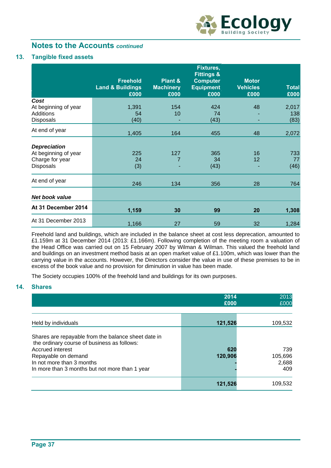

### **13. Tangible fixed assets**

|                                                                             | <b>Freehold</b><br><b>Land &amp; Buildings</b><br>£000 | Plant &<br><b>Machinery</b><br>£000 | Fixtures,<br><b>Fittings &amp;</b><br><b>Computer</b><br><b>Equipment</b><br>£000 | <b>Motor</b><br><b>Vehicles</b><br>£000 | <b>Total</b><br>£000 |
|-----------------------------------------------------------------------------|--------------------------------------------------------|-------------------------------------|-----------------------------------------------------------------------------------|-----------------------------------------|----------------------|
| Cost                                                                        |                                                        |                                     |                                                                                   |                                         |                      |
| At beginning of year                                                        | 1,391                                                  | 154                                 | 424                                                                               | 48                                      | 2,017                |
| Additions                                                                   | 54                                                     | 10                                  | 74                                                                                |                                         | 138                  |
| <b>Disposals</b>                                                            | (40)                                                   |                                     | (43)                                                                              |                                         | (83)                 |
| At end of year                                                              | 1,405                                                  | 164                                 | 455                                                                               | 48                                      | 2,072                |
| <b>Depreciation</b><br>At beginning of year<br>Charge for year<br>Disposals | 225<br>24<br>(3)                                       | 127<br>7                            | 365<br>34<br>(43)                                                                 | 16<br>12                                | 733<br>77<br>(46)    |
| At end of year                                                              | 246                                                    | 134                                 | 356                                                                               | 28                                      | 764                  |
| <b>Net book value</b>                                                       |                                                        |                                     |                                                                                   |                                         |                      |
| At 31 December 2014                                                         | 1,159                                                  | 30                                  | 99                                                                                | 20                                      | 1,308                |
| At 31 December 2013                                                         | 1,166                                                  | 27                                  | 59                                                                                | 32                                      | 1,284                |

Freehold land and buildings, which are included in the balance sheet at cost less deprecation, amounted to £1.159m at 31 December 2014 (2013: £1.166m). Following completion of the meeting room a valuation of the Head Office was carried out on 15 February 2007 by Wilman & Wilman. This valued the freehold land and buildings on an investment method basis at an open market value of £1.100m, which was lower than the carrying value in the accounts. However, the Directors consider the value in use of these premises to be in excess of the book value and no provision for diminution in value has been made.

The Society occupies 100% of the freehold land and buildings for its own purposes.

## **14. Shares**

|                                                                                                                                                                                                                              | 2014<br>£000   | 2013<br>£000                   |
|------------------------------------------------------------------------------------------------------------------------------------------------------------------------------------------------------------------------------|----------------|--------------------------------|
| Held by individuals                                                                                                                                                                                                          | 121,526        | 109,532                        |
| Shares are repayable from the balance sheet date in<br>the ordinary course of business as follows:<br>Accrued interest<br>Repayable on demand<br>In not more than 3 months<br>In more than 3 months but not more than 1 year | 620<br>120,906 | 739<br>105,696<br>2,688<br>409 |
|                                                                                                                                                                                                                              | 121.526        | 109,532                        |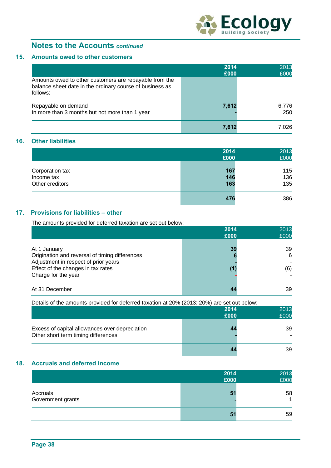

## **15. Amounts owed to other customers**

|                                                                                                                                | 2014<br>£000 | 2013<br>£000 |
|--------------------------------------------------------------------------------------------------------------------------------|--------------|--------------|
| Amounts owed to other customers are repayable from the<br>balance sheet date in the ordinary course of business as<br>follows: |              |              |
| Repayable on demand<br>In more than 3 months but not more than 1 year                                                          | 7,612        | 6,776<br>250 |
|                                                                                                                                | 7.612        | 7.026        |

## **16. Other liabilities**

|                 | 2014<br>£000 | 2013<br>£000 |
|-----------------|--------------|--------------|
|                 |              |              |
| Corporation tax | 167          | 115          |
| Income tax      | 146          | 136          |
| Other creditors | 163          | 135          |
|                 | 476          | 386          |

## **17. Provisions for liabilities – other**

The amounts provided for deferred taxation are set out below:

|                                                                                                                                                                     | 2014<br>£000 | 2013<br>£000   |
|---------------------------------------------------------------------------------------------------------------------------------------------------------------------|--------------|----------------|
| At 1 January<br>Origination and reversal of timing differences<br>Adjustment in respect of prior years<br>Effect of the changes in tax rates<br>Charge for the year | 39           | 39<br>6<br>(6) |
| At 31 December                                                                                                                                                      |              | 39             |

Details of the amounts provided for deferred taxation at 20% (2013: 20%) are set out below:

|                                                                                       | 2014<br>£000 | 2013<br>£000 |
|---------------------------------------------------------------------------------------|--------------|--------------|
| Excess of capital allowances over depreciation<br>Other short term timing differences |              | 39           |
|                                                                                       |              | 39           |

### **18. Accruals and deferred income**

|                               | 2014<br>£000   | 2013<br>£000         |
|-------------------------------|----------------|----------------------|
| Accruals<br>Government grants | 51             | 58<br>$\overline{A}$ |
|                               | 5 <sup>1</sup> | 59                   |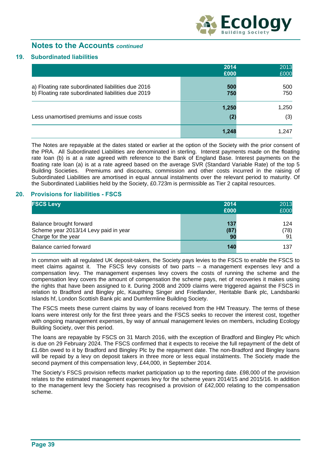

#### **19. Subordinated liabilities**

|                                                                                                          | 2014<br>£000 | 2013<br>£000 |
|----------------------------------------------------------------------------------------------------------|--------------|--------------|
| a) Floating rate subordinated liabilities due 2016<br>b) Floating rate subordinated liabilities due 2019 | 500<br>750   | 500<br>750   |
|                                                                                                          | 1,250        | 1,250        |
| Less unamortised premiums and issue costs                                                                | (2)          | (3)          |
|                                                                                                          | 1,248        | 1,247        |

The Notes are repayable at the dates stated or earlier at the option of the Society with the prior consent of the PRA. All Subordinated Liabilities are denominated in sterling. Interest payments made on the floating rate loan (b) is at a rate agreed with reference to the Bank of England Base. Interest payments on the floating rate loan (a) is at a rate agreed based on the average SVR (Standard Variable Rate) of the top 5 Building Societies. Premiums and discounts, commission and other costs incurred in the raising of Subordinated Liabilities are amortised in equal annual instalments over the relevant period to maturity. Of the Subordinated Liabilities held by the Society, £0.723m is permissible as Tier 2 capital resources.

#### **20. Provisions for liabilities - FSCS**

| <b>FSCS Levy</b>                                                                        | 2014<br>£000      | 2013<br>£000      |
|-----------------------------------------------------------------------------------------|-------------------|-------------------|
| Balance brought forward<br>Scheme year 2013/14 Levy paid in year<br>Charge for the year | 137<br>(87)<br>90 | 124<br>(78)<br>91 |
| Balance carried forward                                                                 | 140               | 137               |

In common with all regulated UK deposit-takers, the Society pays levies to the FSCS to enable the FSCS to meet claims against it. The FSCS levy consists of two parts – a management expenses levy and a compensation levy. The management expenses levy covers the costs of running the scheme and the compensation levy covers the amount of compensation the scheme pays, net of recoveries it makes using the rights that have been assigned to it. During 2008 and 2009 claims were triggered against the FSCS in relation to Bradford and Bingley plc, Kaupthing Singer and Friedlander, Heritable Bank plc, Landsbanki Islands hf, London Scottish Bank plc and Dumfermline Building Society.

The FSCS meets these current claims by way of loans received from the HM Treasury. The terms of these loans were interest only for the first three years and the FSCS seeks to recover the interest cost, together with ongoing management expenses, by way of annual management levies on members, including Ecology Building Society, over this period.

The loans are repayable by FSCS on 31 March 2016, with the exception of Bradford and Bingley Plc which is due on 29 February 2024. The FSCS confirmed that it expects to receive the full repayment of the debt of £1.6bn owed to it by Bradford and Bingley Plc by the repayment date. The non-Bradford and Bingley loans will be repaid by a levy on deposit takers in three more or less equal instalments. The Society made the second payment of this compensation levy, £44,000, in September 2014.

The Society's FSCS provision reflects market participation up to the reporting date. £98,000 of the provision relates to the estimated management expenses levy for the scheme years 2014/15 and 2015/16. In addition to the management levy the Society has recognised a provision of £42,000 relating to the compensation scheme.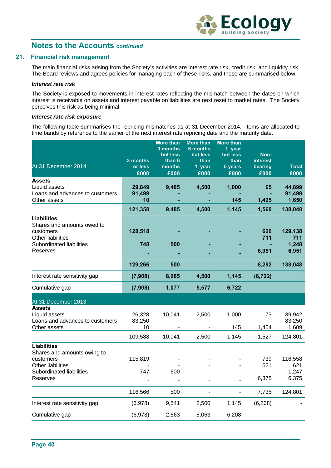

### **21. Financial risk management**

The main financial risks arising from the Society's activities are interest rate risk, credit risk, and liquidity risk. The Board reviews and agrees policies for managing each of these risks, and these are summarised below.

#### *Interest rate risk*

The Society is exposed to movements in interest rates reflecting the mismatch between the dates on which interest is receivable on assets and interest payable on liabilities are next reset to market rates. The Society perceives this risk as being minimal.

#### *Interest rate risk exposure*

The following table summarises the repricing mismatches as at 31 December 2014. Items are allocated to time bands by reference to the earlier of the next interest rate repricing date and the maturity date.

|                                 |          | <b>More than</b>     | <b>More than</b>            | <b>More than</b>   |                 |              |
|---------------------------------|----------|----------------------|-----------------------------|--------------------|-----------------|--------------|
|                                 |          | 3 months<br>but less | <b>6 months</b><br>but less | 1 year<br>but less | Non-            |              |
|                                 | 3 months | than 6               | than                        | than               | <b>interest</b> |              |
| At 31 December 2014             | or less  | months               | 1 year                      | 5 years            | bearing         | <b>Total</b> |
|                                 | £000     | £000                 | £000                        | £000               | £000            | £000         |
| <b>Assets</b>                   |          |                      |                             |                    |                 |              |
| Liquid assets                   | 29,849   | 9,485                | 4,500                       | 1,000              | 65              | 44,899       |
| Loans and advances to customers | 91,499   |                      |                             |                    |                 | 91,499       |
| Other assets                    | 10       |                      |                             | 145                | 1,495           | 1,650        |
|                                 | 121,358  | 9,485                | 4,500                       | 1,145              | 1,560           | 138,048      |
| <b>Liabilities</b>              |          |                      |                             |                    |                 |              |
| Shares and amounts owed to      |          |                      |                             |                    |                 |              |
| customers                       | 128,518  |                      |                             |                    | 620             | 129,138      |
| Other liabilities               |          |                      |                             |                    | 711             | 711          |
| Subordinated liabilities        | 748      | 500                  |                             |                    |                 | 1,248        |
| Reserves                        |          |                      |                             |                    | 6,951           | 6,951        |
|                                 | 129,266  | 500                  |                             |                    | 8,282           | 138,048      |
| Interest rate sensitivity gap   | (7,908)  | 8,985                | 4,500                       | 1,145              | (6, 722)        |              |
| Cumulative gap                  | (7,908)  | 1,077                | 5,577                       | 6,722              |                 |              |
| At 31 December 2013             |          |                      |                             |                    |                 |              |
| <b>Assets</b>                   |          |                      |                             |                    |                 |              |
| Liquid assets                   | 26,328   | 10,041               | 2,500                       | 1,000              | 73              | 39,942       |
| Loans and advances to customers | 83,250   |                      |                             |                    |                 | 83,250       |
| Other assets                    | 10       |                      |                             | 145                | 1,454           | 1,609        |
|                                 | 109,588  | 10,041               | 2,500                       | 1,145              | 1,527           | 124,801      |
| <b>Liabilities</b>              |          |                      |                             |                    |                 |              |
| Shares and amounts owing to     |          |                      |                             |                    |                 |              |
| customers                       | 115,819  |                      |                             |                    | 739             | 116,558      |
| Other liabilities               |          |                      |                             |                    | 621             | 621          |
| Subordinated liabilities        | 747      | 500                  |                             |                    |                 | 1,247        |
| Reserves                        |          |                      |                             |                    | 6,375           | 6,375        |
|                                 | 116,566  | 500                  |                             | L,                 | 7,735           | 124,801      |
| Interest rate sensitivity gap   | (6,978)  | 9,541                | 2,500                       | 1,145              | (6, 208)        |              |
| Cumulative gap                  | (6,978)  | 2,563                | 5,063                       | 6,208              |                 |              |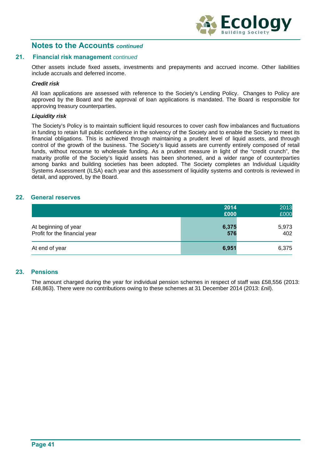

#### **21. Financial risk management** *continued*

Other assets include fixed assets, investments and prepayments and accrued income. Other liabilities include accruals and deferred income.

#### *Credit risk*

All loan applications are assessed with reference to the Society's Lending Policy. Changes to Policy are approved by the Board and the approval of loan applications is mandated. The Board is responsible for approving treasury counterparties.

#### *Liquidity risk*

The Society's Policy is to maintain sufficient liquid resources to cover cash flow imbalances and fluctuations in funding to retain full public confidence in the solvency of the Society and to enable the Society to meet its financial obligations. This is achieved through maintaining a prudent level of liquid assets, and through control of the growth of the business. The Society's liquid assets are currently entirely composed of retail funds, without recourse to wholesale funding. As a prudent measure in light of the "credit crunch", the maturity profile of the Society's liquid assets has been shortened, and a wider range of counterparties among banks and building societies has been adopted. The Society completes an Individual Liquidity Systems Assessment (ILSA) each year and this assessment of liquidity systems and controls is reviewed in detail, and approved, by the Board.

#### **22. General reserves**

|                                                       | 2014<br>£000 | 2013<br>£000 |
|-------------------------------------------------------|--------------|--------------|
| At beginning of year<br>Profit for the financial year | 6,375<br>576 | 5,973<br>402 |
| At end of year                                        | 6,951        | 6,375        |

#### **23. Pensions**

The amount charged during the year for individual pension schemes in respect of staff was £58,556 (2013: £48,863). There were no contributions owing to these schemes at 31 December 2014 (2013: £nil).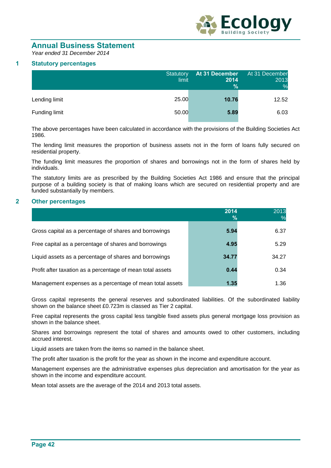

# **Annual Business Statement**

*Year ended 31 December 2014* 

### **1 Statutory percentages**

|               | Statutory<br>limit | At 31 December<br>2014<br>$\%$ | At 31 December<br>2013<br>% |
|---------------|--------------------|--------------------------------|-----------------------------|
| Lending limit | 25.00              | 10.76                          | 12.52                       |
| Funding limit | 50.00              | 5.89                           | 6.03                        |

The above percentages have been calculated in accordance with the provisions of the Building Societies Act 1986.

The lending limit measures the proportion of business assets not in the form of loans fully secured on residential property.

The funding limit measures the proportion of shares and borrowings not in the form of shares held by individuals.

The statutory limits are as prescribed by the Building Societies Act 1986 and ensure that the principal purpose of a building society is that of making loans which are secured on residential property and are funded substantially by members.

#### **2 Other percentages**

|                                                            | 2014<br>$\%$ | 2013  |
|------------------------------------------------------------|--------------|-------|
| Gross capital as a percentage of shares and borrowings     | 5.94         | 6.37  |
| Free capital as a percentage of shares and borrowings      | 4.95         | 5.29  |
| Liquid assets as a percentage of shares and borrowings     | 34.77        | 34.27 |
| Profit after taxation as a percentage of mean total assets | 0.44         | 0.34  |
| Management expenses as a percentage of mean total assets   | 1.35         | 1.36  |

Gross capital represents the general reserves and subordinated liabilities. Of the subordinated liability shown on the balance sheet £0.723m is classed as Tier 2 capital.

Free capital represents the gross capital less tangible fixed assets plus general mortgage loss provision as shown in the balance sheet.

Shares and borrowings represent the total of shares and amounts owed to other customers, including accrued interest.

Liquid assets are taken from the items so named in the balance sheet.

The profit after taxation is the profit for the year as shown in the income and expenditure account.

Management expenses are the administrative expenses plus depreciation and amortisation for the year as shown in the income and expenditure account.

Mean total assets are the average of the 2014 and 2013 total assets.